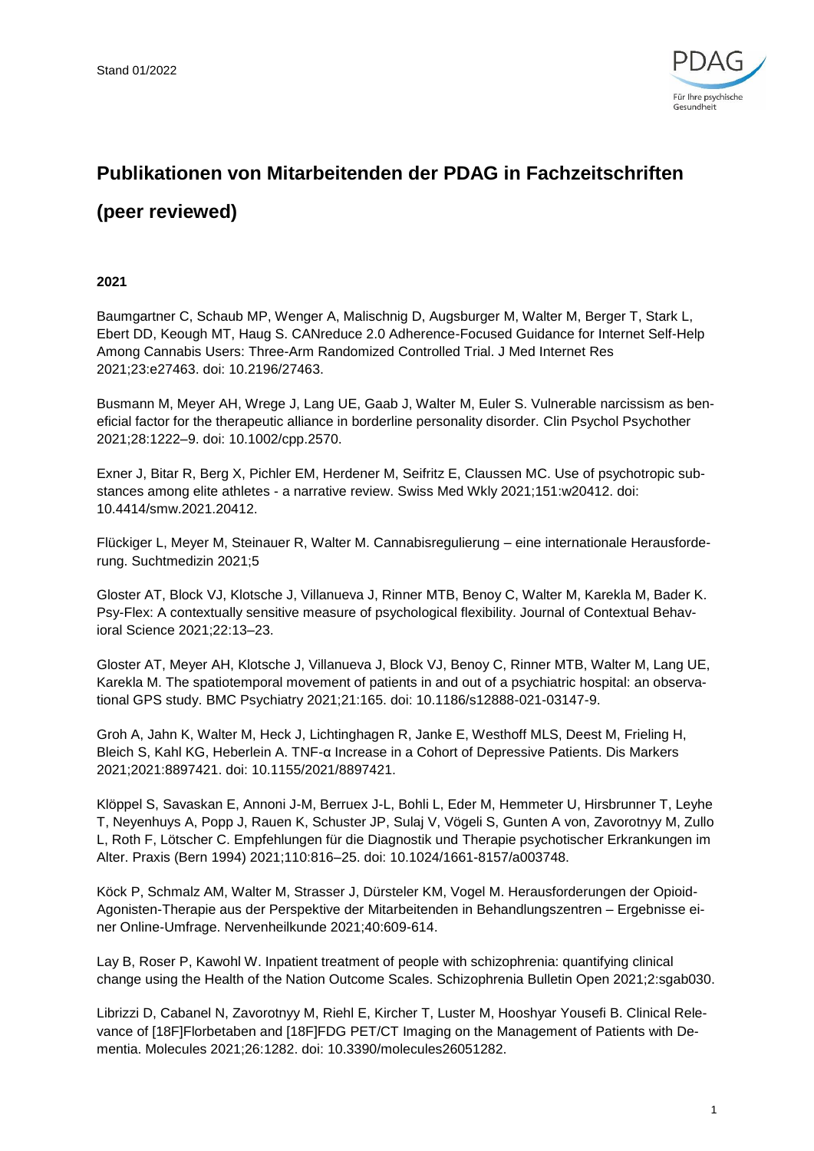

# **Publikationen von Mitarbeitenden der PDAG in Fachzeitschriften**

## **(peer reviewed)**

### **2021**

Baumgartner C, Schaub MP, Wenger A, Malischnig D, Augsburger M, Walter M, Berger T, Stark L, Ebert DD, Keough MT, Haug S. CANreduce 2.0 Adherence-Focused Guidance for Internet Self-Help Among Cannabis Users: Three-Arm Randomized Controlled Trial. J Med Internet Res 2021;23:e27463. doi: 10.2196/27463.

Busmann M, Meyer AH, Wrege J, Lang UE, Gaab J, Walter M, Euler S. Vulnerable narcissism as beneficial factor for the therapeutic alliance in borderline personality disorder. Clin Psychol Psychother 2021;28:1222–9. doi: 10.1002/cpp.2570.

Exner J, Bitar R, Berg X, Pichler EM, Herdener M, Seifritz E, Claussen MC. Use of psychotropic substances among elite athletes - a narrative review. Swiss Med Wkly 2021;151:w20412. doi: 10.4414/smw.2021.20412.

Flückiger L, Meyer M, Steinauer R, Walter M. Cannabisregulierung – eine internationale Herausforderung. Suchtmedizin 2021;5

Gloster AT, Block VJ, Klotsche J, Villanueva J, Rinner MTB, Benoy C, Walter M, Karekla M, Bader K. Psy-Flex: A contextually sensitive measure of psychological flexibility. Journal of Contextual Behavioral Science 2021;22:13–23.

Gloster AT, Meyer AH, Klotsche J, Villanueva J, Block VJ, Benoy C, Rinner MTB, Walter M, Lang UE, Karekla M. The spatiotemporal movement of patients in and out of a psychiatric hospital: an observational GPS study. BMC Psychiatry 2021;21:165. doi: 10.1186/s12888-021-03147-9.

Groh A, Jahn K, Walter M, Heck J, Lichtinghagen R, Janke E, Westhoff MLS, Deest M, Frieling H, Bleich S, Kahl KG, Heberlein A. TNF-α Increase in a Cohort of Depressive Patients. Dis Markers 2021;2021:8897421. doi: 10.1155/2021/8897421.

Klöppel S, Savaskan E, Annoni J-M, Berruex J-L, Bohli L, Eder M, Hemmeter U, Hirsbrunner T, Leyhe T, Neyenhuys A, Popp J, Rauen K, Schuster JP, Sulaj V, Vögeli S, Gunten A von, Zavorotnyy M, Zullo L, Roth F, Lötscher C. Empfehlungen für die Diagnostik und Therapie psychotischer Erkrankungen im Alter. Praxis (Bern 1994) 2021;110:816–25. doi: 10.1024/1661-8157/a003748.

Köck P, Schmalz AM, Walter M, Strasser J, Dürsteler KM, Vogel M. Herausforderungen der Opioid-Agonisten-Therapie aus der Perspektive der Mitarbeitenden in Behandlungszentren – Ergebnisse einer Online-Umfrage. Nervenheilkunde 2021;40:609-614.

Lay B, Roser P, Kawohl W. Inpatient treatment of people with schizophrenia: quantifying clinical change using the Health of the Nation Outcome Scales. Schizophrenia Bulletin Open 2021;2:sgab030.

Librizzi D, Cabanel N, Zavorotnyy M, Riehl E, Kircher T, Luster M, Hooshyar Yousefi B. Clinical Relevance of [18F]Florbetaben and [18F]FDG PET/CT Imaging on the Management of Patients with Dementia. Molecules 2021;26:1282. doi: 10.3390/molecules26051282.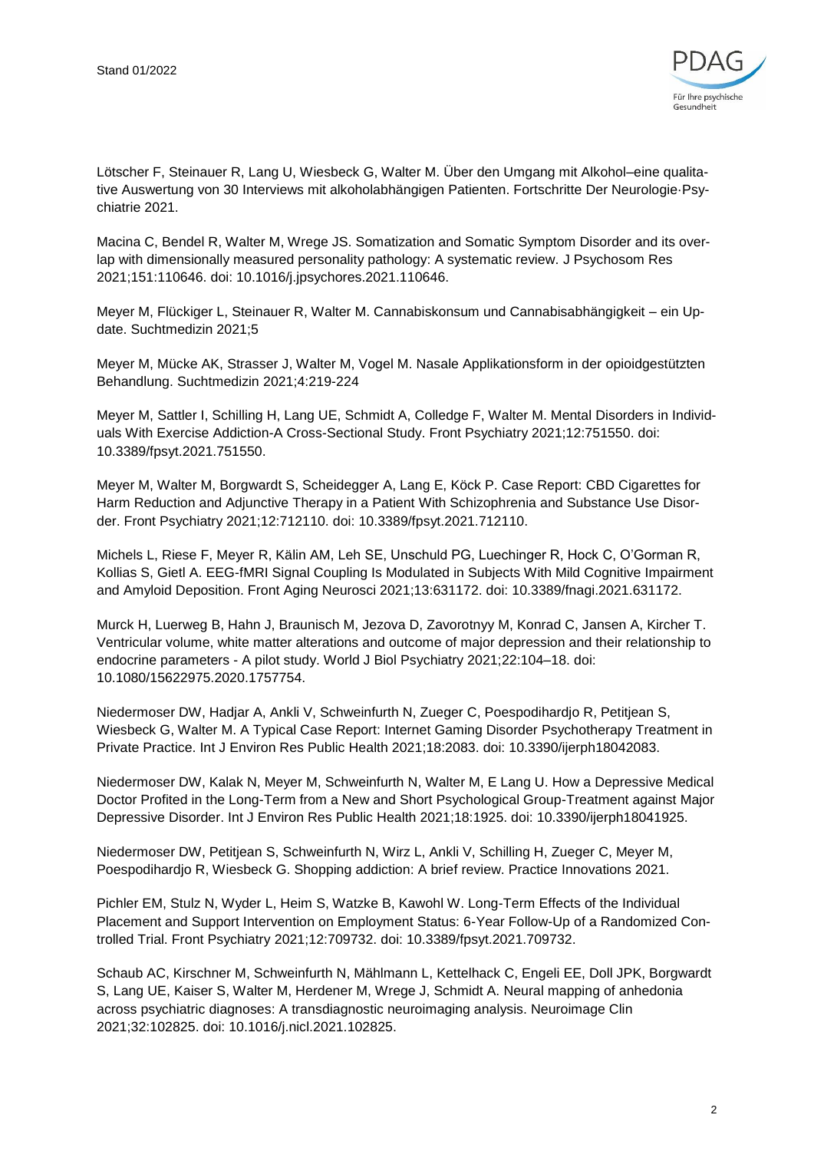

Lötscher F, Steinauer R, Lang U, Wiesbeck G, Walter M. Über den Umgang mit Alkohol–eine qualitative Auswertung von 30 Interviews mit alkoholabhängigen Patienten. Fortschritte Der Neurologie·Psychiatrie 2021.

Macina C, Bendel R, Walter M, Wrege JS. Somatization and Somatic Symptom Disorder and its overlap with dimensionally measured personality pathology: A systematic review. J Psychosom Res 2021;151:110646. doi: 10.1016/j.jpsychores.2021.110646.

Meyer M, Flückiger L, Steinauer R, Walter M. Cannabiskonsum und Cannabisabhängigkeit – ein Update. Suchtmedizin 2021;5

Meyer M, Mücke AK, Strasser J, Walter M, Vogel M. Nasale Applikationsform in der opioidgestützten Behandlung. Suchtmedizin 2021;4:219-224

Meyer M, Sattler I, Schilling H, Lang UE, Schmidt A, Colledge F, Walter M. Mental Disorders in Individuals With Exercise Addiction-A Cross-Sectional Study. Front Psychiatry 2021;12:751550. doi: 10.3389/fpsyt.2021.751550.

Meyer M, Walter M, Borgwardt S, Scheidegger A, Lang E, Köck P. Case Report: CBD Cigarettes for Harm Reduction and Adjunctive Therapy in a Patient With Schizophrenia and Substance Use Disorder. Front Psychiatry 2021;12:712110. doi: 10.3389/fpsyt.2021.712110.

Michels L, Riese F, Meyer R, Kälin AM, Leh SE, Unschuld PG, Luechinger R, Hock C, O'Gorman R, Kollias S, Gietl A. EEG-fMRI Signal Coupling Is Modulated in Subjects With Mild Cognitive Impairment and Amyloid Deposition. Front Aging Neurosci 2021;13:631172. doi: 10.3389/fnagi.2021.631172.

Murck H, Luerweg B, Hahn J, Braunisch M, Jezova D, Zavorotnyy M, Konrad C, Jansen A, Kircher T. Ventricular volume, white matter alterations and outcome of major depression and their relationship to endocrine parameters - A pilot study. World J Biol Psychiatry 2021;22:104–18. doi: 10.1080/15622975.2020.1757754.

Niedermoser DW, Hadjar A, Ankli V, Schweinfurth N, Zueger C, Poespodihardjo R, Petitjean S, Wiesbeck G, Walter M. A Typical Case Report: Internet Gaming Disorder Psychotherapy Treatment in Private Practice. Int J Environ Res Public Health 2021;18:2083. doi: 10.3390/ijerph18042083.

Niedermoser DW, Kalak N, Meyer M, Schweinfurth N, Walter M, E Lang U. How a Depressive Medical Doctor Profited in the Long-Term from a New and Short Psychological Group-Treatment against Major Depressive Disorder. Int J Environ Res Public Health 2021;18:1925. doi: 10.3390/ijerph18041925.

Niedermoser DW, Petitjean S, Schweinfurth N, Wirz L, Ankli V, Schilling H, Zueger C, Meyer M, Poespodihardjo R, Wiesbeck G. Shopping addiction: A brief review. Practice Innovations 2021.

Pichler EM, Stulz N, Wyder L, Heim S, Watzke B, Kawohl W. Long-Term Effects of the Individual Placement and Support Intervention on Employment Status: 6-Year Follow-Up of a Randomized Controlled Trial. Front Psychiatry 2021;12:709732. doi: 10.3389/fpsyt.2021.709732.

Schaub AC, Kirschner M, Schweinfurth N, Mählmann L, Kettelhack C, Engeli EE, Doll JPK, Borgwardt S, Lang UE, Kaiser S, Walter M, Herdener M, Wrege J, Schmidt A. Neural mapping of anhedonia across psychiatric diagnoses: A transdiagnostic neuroimaging analysis. Neuroimage Clin 2021;32:102825. doi: 10.1016/j.nicl.2021.102825.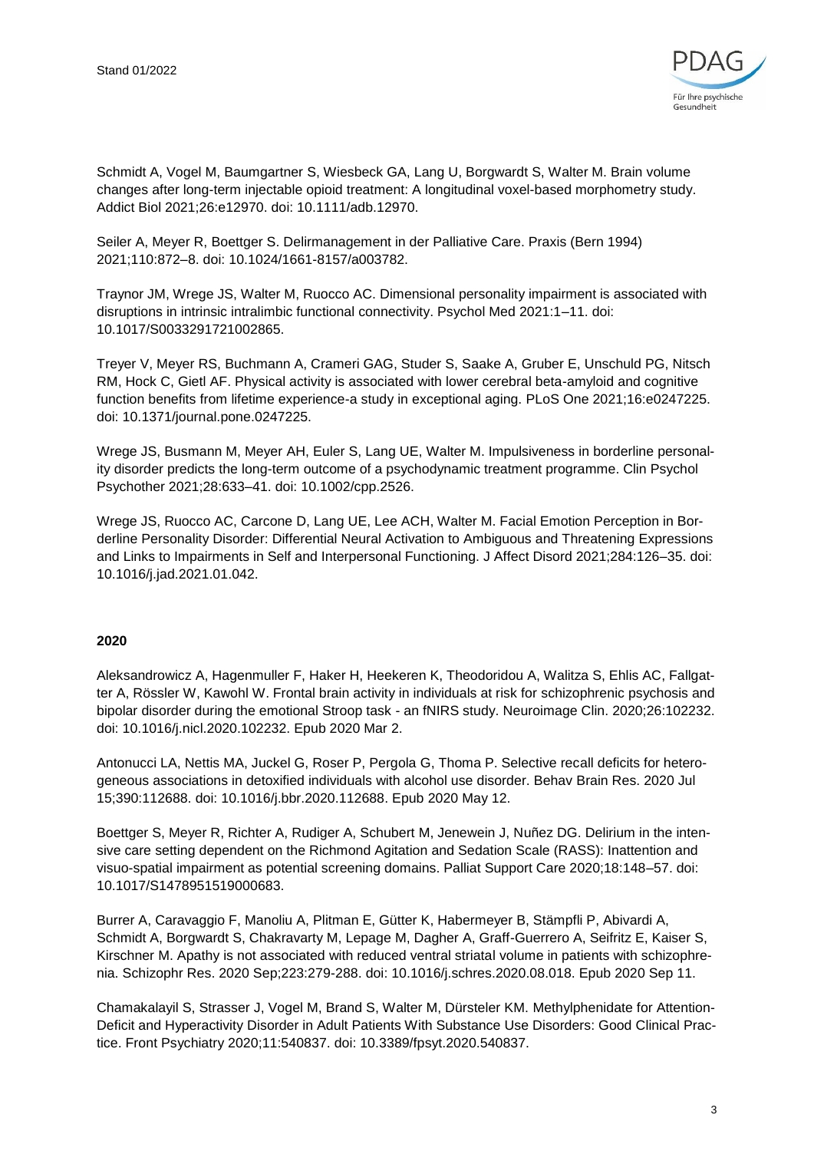

Schmidt A, Vogel M, Baumgartner S, Wiesbeck GA, Lang U, Borgwardt S, Walter M. Brain volume changes after long-term injectable opioid treatment: A longitudinal voxel-based morphometry study. Addict Biol 2021;26:e12970. doi: 10.1111/adb.12970.

Seiler A, Meyer R, Boettger S. Delirmanagement in der Palliative Care. Praxis (Bern 1994) 2021;110:872–8. doi: 10.1024/1661-8157/a003782.

Traynor JM, Wrege JS, Walter M, Ruocco AC. Dimensional personality impairment is associated with disruptions in intrinsic intralimbic functional connectivity. Psychol Med 2021:1–11. doi: 10.1017/S0033291721002865.

Treyer V, Meyer RS, Buchmann A, Crameri GAG, Studer S, Saake A, Gruber E, Unschuld PG, Nitsch RM, Hock C, Gietl AF. Physical activity is associated with lower cerebral beta-amyloid and cognitive function benefits from lifetime experience-a study in exceptional aging. PLoS One 2021;16:e0247225. doi: 10.1371/journal.pone.0247225.

Wrege JS, Busmann M, Meyer AH, Euler S, Lang UE, Walter M. Impulsiveness in borderline personality disorder predicts the long-term outcome of a psychodynamic treatment programme. Clin Psychol Psychother 2021;28:633–41. doi: 10.1002/cpp.2526.

Wrege JS, Ruocco AC, Carcone D, Lang UE, Lee ACH, Walter M. Facial Emotion Perception in Borderline Personality Disorder: Differential Neural Activation to Ambiguous and Threatening Expressions and Links to Impairments in Self and Interpersonal Functioning. J Affect Disord 2021;284:126–35. doi: 10.1016/j.jad.2021.01.042.

#### **2020**

Aleksandrowicz A, Hagenmuller F, Haker H, Heekeren K, Theodoridou A, Walitza S, Ehlis AC, Fallgatter A, Rössler W, Kawohl W. Frontal brain activity in individuals at risk for schizophrenic psychosis and bipolar disorder during the emotional Stroop task - an fNIRS study. Neuroimage Clin. 2020;26:102232. doi: 10.1016/j.nicl.2020.102232. Epub 2020 Mar 2.

Antonucci LA, Nettis MA, Juckel G, Roser P, Pergola G, Thoma P. Selective recall deficits for heterogeneous associations in detoxified individuals with alcohol use disorder. Behav Brain Res. 2020 Jul 15;390:112688. doi: 10.1016/j.bbr.2020.112688. Epub 2020 May 12.

Boettger S, Meyer R, Richter A, Rudiger A, Schubert M, Jenewein J, Nuñez DG. Delirium in the intensive care setting dependent on the Richmond Agitation and Sedation Scale (RASS): Inattention and visuo-spatial impairment as potential screening domains. Palliat Support Care 2020;18:148–57. doi: 10.1017/S1478951519000683.

Burrer A, Caravaggio F, Manoliu A, Plitman E, Gütter K, Habermeyer B, Stämpfli P, Abivardi A, Schmidt A, Borgwardt S, Chakravarty M, Lepage M, Dagher A, Graff-Guerrero A, Seifritz E, Kaiser S, Kirschner M. Apathy is not associated with reduced ventral striatal volume in patients with schizophrenia. Schizophr Res. 2020 Sep;223:279-288. doi: 10.1016/j.schres.2020.08.018. Epub 2020 Sep 11.

Chamakalayil S, Strasser J, Vogel M, Brand S, Walter M, Dürsteler KM. Methylphenidate for Attention-Deficit and Hyperactivity Disorder in Adult Patients With Substance Use Disorders: Good Clinical Practice. Front Psychiatry 2020;11:540837. doi: 10.3389/fpsyt.2020.540837.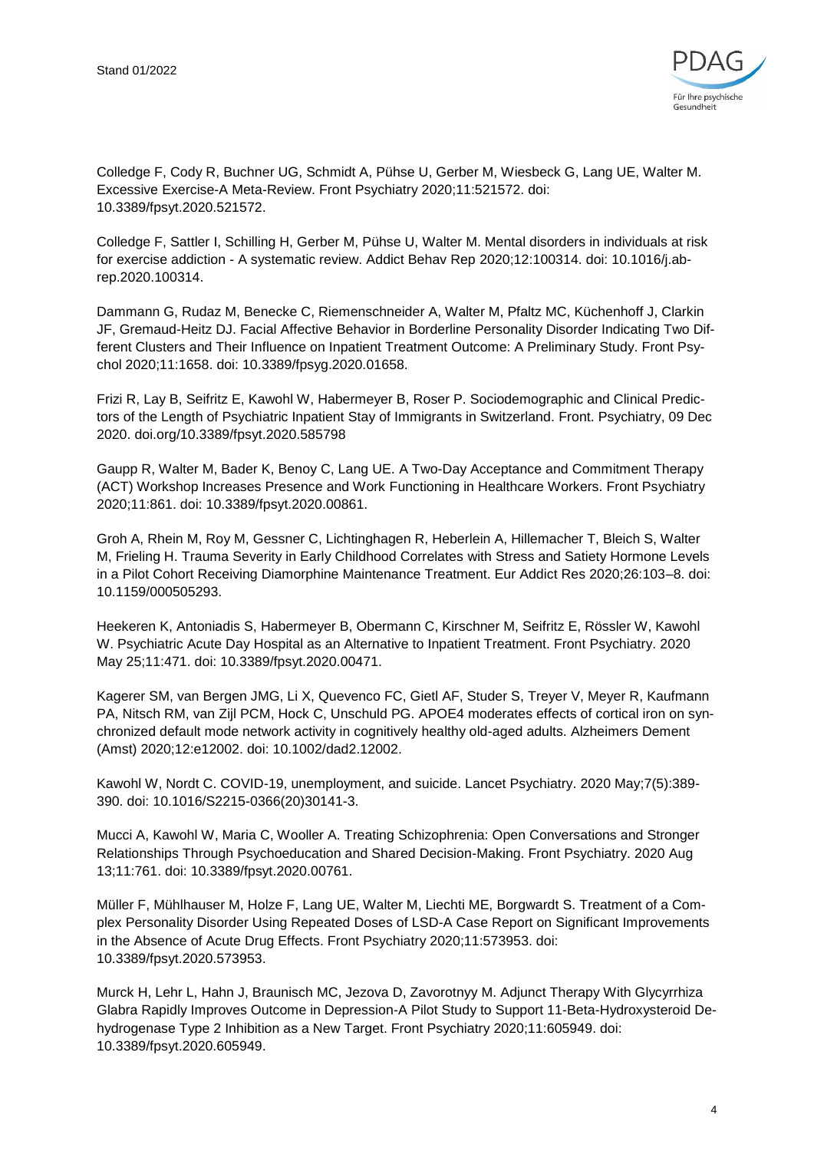

Colledge F, Cody R, Buchner UG, Schmidt A, Pühse U, Gerber M, Wiesbeck G, Lang UE, Walter M. Excessive Exercise-A Meta-Review. Front Psychiatry 2020;11:521572. doi: 10.3389/fpsyt.2020.521572.

Colledge F, Sattler I, Schilling H, Gerber M, Pühse U, Walter M. Mental disorders in individuals at risk for exercise addiction - A systematic review. Addict Behav Rep 2020;12:100314. doi: 10.1016/j.abrep.2020.100314.

Dammann G, Rudaz M, Benecke C, Riemenschneider A, Walter M, Pfaltz MC, Küchenhoff J, Clarkin JF, Gremaud-Heitz DJ. Facial Affective Behavior in Borderline Personality Disorder Indicating Two Different Clusters and Their Influence on Inpatient Treatment Outcome: A Preliminary Study. Front Psychol 2020;11:1658. doi: 10.3389/fpsyg.2020.01658.

Frizi R, Lay B, Seifritz E, Kawohl W, Habermeyer B, Roser P. Sociodemographic and Clinical Predictors of the Length of Psychiatric Inpatient Stay of Immigrants in Switzerland. Front. Psychiatry, 09 Dec 2020. doi.org/10.3389/fpsyt.2020.585798

Gaupp R, Walter M, Bader K, Benoy C, Lang UE. A Two-Day Acceptance and Commitment Therapy (ACT) Workshop Increases Presence and Work Functioning in Healthcare Workers. Front Psychiatry 2020;11:861. doi: 10.3389/fpsyt.2020.00861.

Groh A, Rhein M, Roy M, Gessner C, Lichtinghagen R, Heberlein A, Hillemacher T, Bleich S, Walter M, Frieling H. Trauma Severity in Early Childhood Correlates with Stress and Satiety Hormone Levels in a Pilot Cohort Receiving Diamorphine Maintenance Treatment. Eur Addict Res 2020;26:103–8. doi: 10.1159/000505293.

Heekeren K, Antoniadis S, Habermeyer B, Obermann C, Kirschner M, Seifritz E, Rössler W, Kawohl W. Psychiatric Acute Day Hospital as an Alternative to Inpatient Treatment. Front Psychiatry. 2020 May 25;11:471. doi: 10.3389/fpsyt.2020.00471.

Kagerer SM, van Bergen JMG, Li X, Quevenco FC, Gietl AF, Studer S, Treyer V, Meyer R, Kaufmann PA, Nitsch RM, van Zijl PCM, Hock C, Unschuld PG. APOE4 moderates effects of cortical iron on synchronized default mode network activity in cognitively healthy old-aged adults. Alzheimers Dement (Amst) 2020;12:e12002. doi: 10.1002/dad2.12002.

Kawohl W, Nordt C. COVID-19, unemployment, and suicide. Lancet Psychiatry. 2020 May;7(5):389- 390. doi: 10.1016/S2215-0366(20)30141-3.

Mucci A, Kawohl W, Maria C, Wooller A. Treating Schizophrenia: Open Conversations and Stronger Relationships Through Psychoeducation and Shared Decision-Making. Front Psychiatry. 2020 Aug 13;11:761. doi: 10.3389/fpsyt.2020.00761.

Müller F, Mühlhauser M, Holze F, Lang UE, Walter M, Liechti ME, Borgwardt S. Treatment of a Complex Personality Disorder Using Repeated Doses of LSD-A Case Report on Significant Improvements in the Absence of Acute Drug Effects. Front Psychiatry 2020;11:573953. doi: 10.3389/fpsyt.2020.573953.

Murck H, Lehr L, Hahn J, Braunisch MC, Jezova D, Zavorotnyy M. Adjunct Therapy With Glycyrrhiza Glabra Rapidly Improves Outcome in Depression-A Pilot Study to Support 11-Beta-Hydroxysteroid Dehydrogenase Type 2 Inhibition as a New Target. Front Psychiatry 2020;11:605949. doi: 10.3389/fpsyt.2020.605949.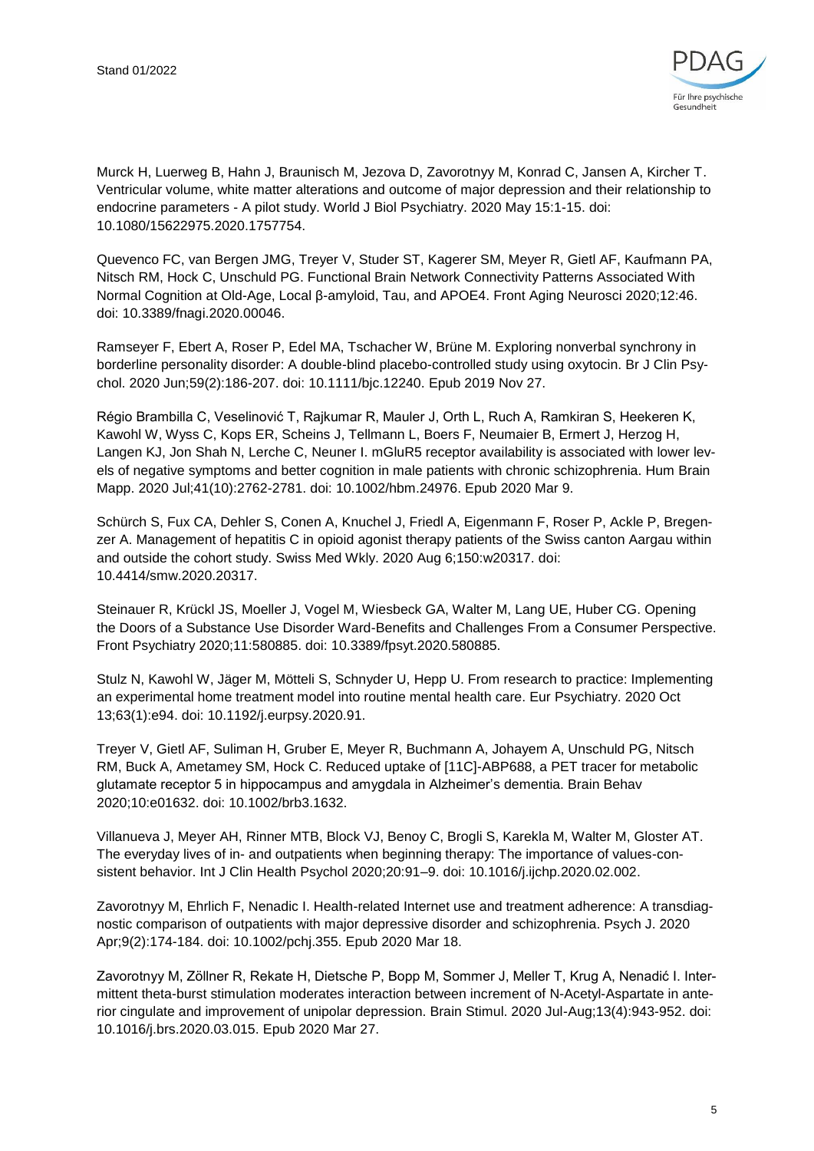

Murck H, Luerweg B, Hahn J, Braunisch M, Jezova D, Zavorotnyy M, Konrad C, Jansen A, Kircher T. Ventricular volume, white matter alterations and outcome of major depression and their relationship to endocrine parameters - A pilot study. World J Biol Psychiatry. 2020 May 15:1-15. doi: 10.1080/15622975.2020.1757754.

Quevenco FC, van Bergen JMG, Treyer V, Studer ST, Kagerer SM, Meyer R, Gietl AF, Kaufmann PA, Nitsch RM, Hock C, Unschuld PG. Functional Brain Network Connectivity Patterns Associated With Normal Cognition at Old-Age, Local β-amyloid, Tau, and APOE4. Front Aging Neurosci 2020;12:46. doi: 10.3389/fnagi.2020.00046.

Ramseyer F, Ebert A, Roser P, Edel MA, Tschacher W, Brüne M. Exploring nonverbal synchrony in borderline personality disorder: A double-blind placebo-controlled study using oxytocin. Br J Clin Psychol. 2020 Jun;59(2):186-207. doi: 10.1111/bjc.12240. Epub 2019 Nov 27.

Régio Brambilla C, Veselinović T, Rajkumar R, Mauler J, Orth L, Ruch A, Ramkiran S, Heekeren K, Kawohl W, Wyss C, Kops ER, Scheins J, Tellmann L, Boers F, Neumaier B, Ermert J, Herzog H, Langen KJ, Jon Shah N, Lerche C, Neuner I. mGluR5 receptor availability is associated with lower levels of negative symptoms and better cognition in male patients with chronic schizophrenia. Hum Brain Mapp. 2020 Jul;41(10):2762-2781. doi: 10.1002/hbm.24976. Epub 2020 Mar 9.

Schürch S, Fux CA, Dehler S, Conen A, Knuchel J, Friedl A, Eigenmann F, Roser P, Ackle P, Bregenzer A. Management of hepatitis C in opioid agonist therapy patients of the Swiss canton Aargau within and outside the cohort study. Swiss Med Wkly. 2020 Aug 6;150:w20317. doi: 10.4414/smw.2020.20317.

Steinauer R, Krückl JS, Moeller J, Vogel M, Wiesbeck GA, Walter M, Lang UE, Huber CG. Opening the Doors of a Substance Use Disorder Ward-Benefits and Challenges From a Consumer Perspective. Front Psychiatry 2020;11:580885. doi: 10.3389/fpsyt.2020.580885.

Stulz N, Kawohl W, Jäger M, Mötteli S, Schnyder U, Hepp U. From research to practice: Implementing an experimental home treatment model into routine mental health care. Eur Psychiatry. 2020 Oct 13;63(1):e94. doi: 10.1192/j.eurpsy.2020.91.

Treyer V, Gietl AF, Suliman H, Gruber E, Meyer R, Buchmann A, Johayem A, Unschuld PG, Nitsch RM, Buck A, Ametamey SM, Hock C. Reduced uptake of [11C]-ABP688, a PET tracer for metabolic glutamate receptor 5 in hippocampus and amygdala in Alzheimer's dementia. Brain Behav 2020;10:e01632. doi: 10.1002/brb3.1632.

Villanueva J, Meyer AH, Rinner MTB, Block VJ, Benoy C, Brogli S, Karekla M, Walter M, Gloster AT. The everyday lives of in- and outpatients when beginning therapy: The importance of values-consistent behavior. Int J Clin Health Psychol 2020;20:91–9. doi: 10.1016/j.ijchp.2020.02.002.

Zavorotnyy M, Ehrlich F, Nenadic I. Health-related Internet use and treatment adherence: A transdiagnostic comparison of outpatients with major depressive disorder and schizophrenia. Psych J. 2020 Apr;9(2):174-184. doi: 10.1002/pchj.355. Epub 2020 Mar 18.

Zavorotnyy M, Zöllner R, Rekate H, Dietsche P, Bopp M, Sommer J, Meller T, Krug A, Nenadić I. Intermittent theta-burst stimulation moderates interaction between increment of N-Acetyl-Aspartate in anterior cingulate and improvement of unipolar depression. Brain Stimul. 2020 Jul-Aug;13(4):943-952. doi: 10.1016/j.brs.2020.03.015. Epub 2020 Mar 27.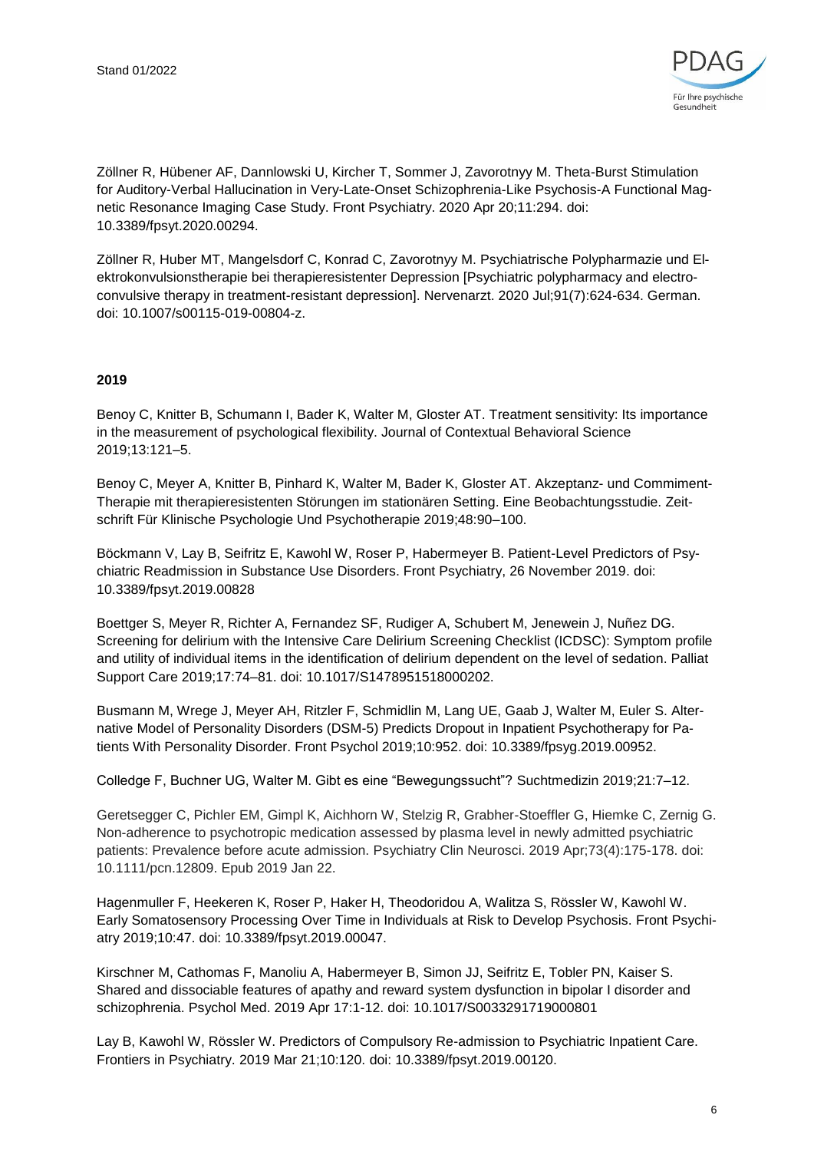

Zöllner R, Hübener AF, Dannlowski U, Kircher T, Sommer J, Zavorotnyy M. Theta-Burst Stimulation for Auditory-Verbal Hallucination in Very-Late-Onset Schizophrenia-Like Psychosis-A Functional Magnetic Resonance Imaging Case Study. Front Psychiatry. 2020 Apr 20;11:294. doi: 10.3389/fpsyt.2020.00294.

Zöllner R, Huber MT, Mangelsdorf C, Konrad C, Zavorotnyy M. Psychiatrische Polypharmazie und Elektrokonvulsionstherapie bei therapieresistenter Depression [Psychiatric polypharmacy and electroconvulsive therapy in treatment-resistant depression]. Nervenarzt. 2020 Jul;91(7):624-634. German. doi: 10.1007/s00115-019-00804-z.

#### **2019**

Benoy C, Knitter B, Schumann I, Bader K, Walter M, Gloster AT. Treatment sensitivity: Its importance in the measurement of psychological flexibility. Journal of Contextual Behavioral Science 2019;13:121–5.

Benoy C, Meyer A, Knitter B, Pinhard K, Walter M, Bader K, Gloster AT. Akzeptanz- und Commiment-Therapie mit therapieresistenten Störungen im stationären Setting. Eine Beobachtungsstudie. Zeitschrift Für Klinische Psychologie Und Psychotherapie 2019;48:90–100.

Böckmann V, Lay B, Seifritz E, Kawohl W, Roser P, Habermeyer B. Patient-Level Predictors of Psychiatric Readmission in Substance Use Disorders. Front Psychiatry, 26 November 2019. doi: 10.3389/fpsyt.2019.00828

Boettger S, Meyer R, Richter A, Fernandez SF, Rudiger A, Schubert M, Jenewein J, Nuñez DG. Screening for delirium with the Intensive Care Delirium Screening Checklist (ICDSC): Symptom profile and utility of individual items in the identification of delirium dependent on the level of sedation. Palliat Support Care 2019;17:74–81. doi: 10.1017/S1478951518000202.

Busmann M, Wrege J, Meyer AH, Ritzler F, Schmidlin M, Lang UE, Gaab J, Walter M, Euler S. Alternative Model of Personality Disorders (DSM-5) Predicts Dropout in Inpatient Psychotherapy for Patients With Personality Disorder. Front Psychol 2019;10:952. doi: 10.3389/fpsyg.2019.00952.

Colledge F, Buchner UG, Walter M. Gibt es eine "Bewegungssucht"? Suchtmedizin 2019;21:7–12.

Geretsegger C, Pichler EM, Gimpl K, Aichhorn W, Stelzig R, Grabher-Stoeffler G, Hiemke C, Zernig G. Non-adherence to psychotropic medication assessed by plasma level in newly admitted psychiatric patients: Prevalence before acute admission. Psychiatry Clin Neurosci. 2019 Apr;73(4):175-178. doi: 10.1111/pcn.12809. Epub 2019 Jan 22.

Hagenmuller F, Heekeren K, Roser P, Haker H, Theodoridou A, Walitza S, Rössler W, Kawohl W. Early Somatosensory Processing Over Time in Individuals at Risk to Develop Psychosis. Front Psychiatry 2019;10:47. doi: 10.3389/fpsyt.2019.00047.

Kirschner M, Cathomas F, Manoliu A, Habermeyer B, Simon JJ, Seifritz E, Tobler PN, Kaiser S. Shared and dissociable features of apathy and reward system dysfunction in bipolar I disorder and schizophrenia. Psychol Med. 2019 Apr 17:1-12. doi: 10.1017/S0033291719000801

Lay B, Kawohl W, Rössler W. Predictors of Compulsory Re-admission to Psychiatric Inpatient Care. Frontiers in Psychiatry. 2019 Mar 21;10:120. doi: 10.3389/fpsyt.2019.00120.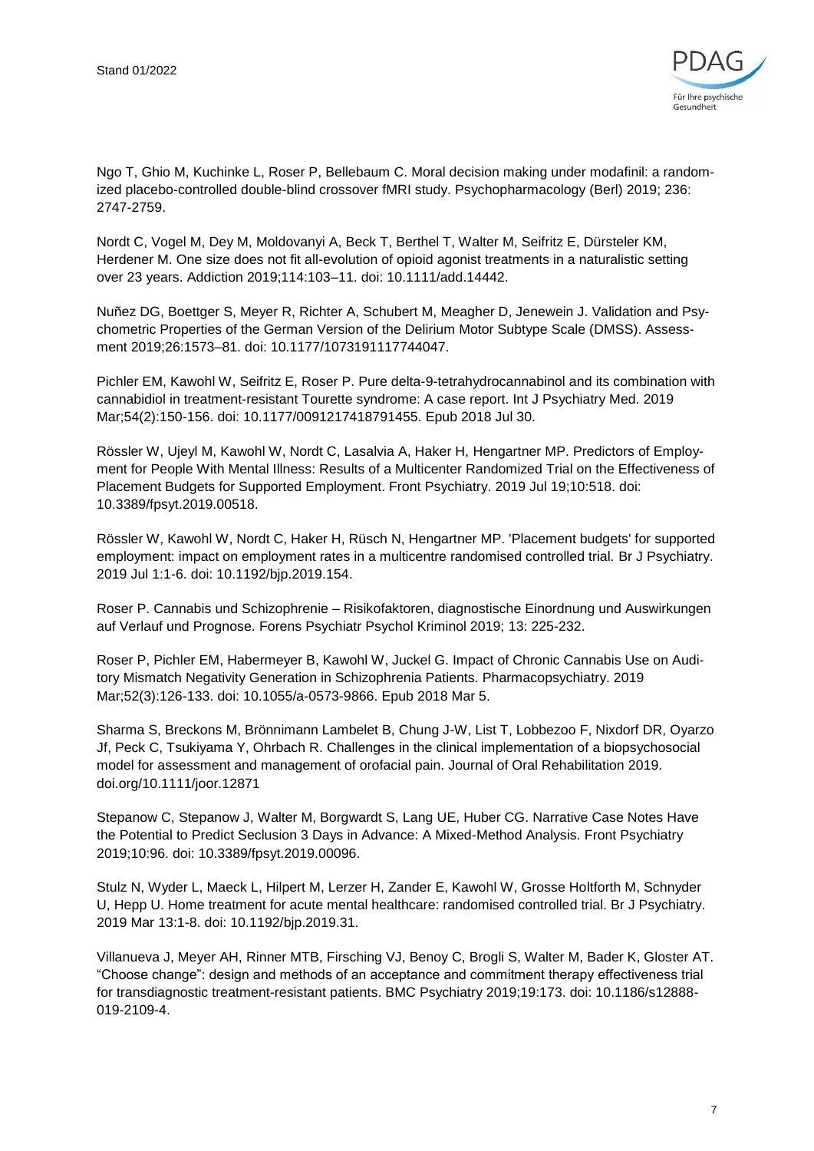

Ngo T, Ghio M, Kuchinke L, Roser P, Bellebaum C. Moral decision making under modafinil: a randomized placebo-controlled double-blind crossover fMRI study. Psychopharmacology (Berl) 2019; 236: 2747-2759.

Nordt C, Vogel M, Dey M, Moldovanyi A, Beck T, Berthel T, Walter M, Seifritz E, Dürsteler KM, Herdener M. One size does not fit all-evolution of opioid agonist treatments in a naturalistic setting over 23 years. Addiction 2019;114:103–11. doi: 10.1111/add.14442.

Nuñez DG, Boettger S, Meyer R, Richter A, Schubert M, Meagher D, Jenewein J. Validation and Psychometric Properties of the German Version of the Delirium Motor Subtype Scale (DMSS). Assessment 2019;26:1573–81. doi: 10.1177/1073191117744047.

Pichler EM, Kawohl W, Seifritz E, Roser P. Pure delta-9-tetrahydrocannabinol and its combination with cannabidiol in treatment-resistant Tourette syndrome: A case report. Int J Psychiatry Med. 2019 Mar;54(2):150-156. doi: 10.1177/0091217418791455. Epub 2018 Jul 30.

Rössler W, Ujeyl M, Kawohl W, Nordt C, Lasalvia A, Haker H, Hengartner MP. Predictors of Employment for People With Mental Illness: Results of a Multicenter Randomized Trial on the Effectiveness of Placement Budgets for Supported Employment. Front Psychiatry. 2019 Jul 19;10:518. doi: 10.3389/fpsyt.2019.00518.

Rössler W, Kawohl W, Nordt C, Haker H, Rüsch N, Hengartner MP. 'Placement budgets' for supported employment: impact on employment rates in a multicentre randomised controlled trial. Br J Psychiatry. 2019 Jul 1:1-6. doi: 10.1192/bjp.2019.154.

Roser P. Cannabis und Schizophrenie – Risikofaktoren, diagnostische Einordnung und Auswirkungen auf Verlauf und Prognose. Forens Psychiatr Psychol Kriminol 2019; 13: 225-232.

Roser P, Pichler EM, Habermeyer B, Kawohl W, Juckel G. Impact of Chronic Cannabis Use on Auditory Mismatch Negativity Generation in Schizophrenia Patients. Pharmacopsychiatry. 2019 Mar;52(3):126-133. doi: 10.1055/a-0573-9866. Epub 2018 Mar 5.

Sharma S, Breckons M, Brönnimann Lambelet B, Chung J-W, List T, Lobbezoo F, Nixdorf DR, Oyarzo Jf, Peck C, Tsukiyama Y, Ohrbach R. Challenges in the clinical implementation of a biopsychosocial model for assessment and management of orofacial pain. Journal of Oral Rehabilitation 2019. doi.org/10.1111/joor.12871

Stepanow C, Stepanow J, Walter M, Borgwardt S, Lang UE, Huber CG. Narrative Case Notes Have the Potential to Predict Seclusion 3 Days in Advance: A Mixed-Method Analysis. Front Psychiatry 2019;10:96. doi: 10.3389/fpsyt.2019.00096.

Stulz N, Wyder L, Maeck L, Hilpert M, Lerzer H, Zander E, Kawohl W, Grosse Holtforth M, Schnyder U, Hepp U. Home treatment for acute mental healthcare: randomised controlled trial. Br J Psychiatry. 2019 Mar 13:1-8. doi: 10.1192/bjp.2019.31.

Villanueva J, Meyer AH, Rinner MTB, Firsching VJ, Benoy C, Brogli S, Walter M, Bader K, Gloster AT. "Choose change": design and methods of an acceptance and commitment therapy effectiveness trial for transdiagnostic treatment-resistant patients. BMC Psychiatry 2019;19:173. doi: 10.1186/s12888- 019-2109-4.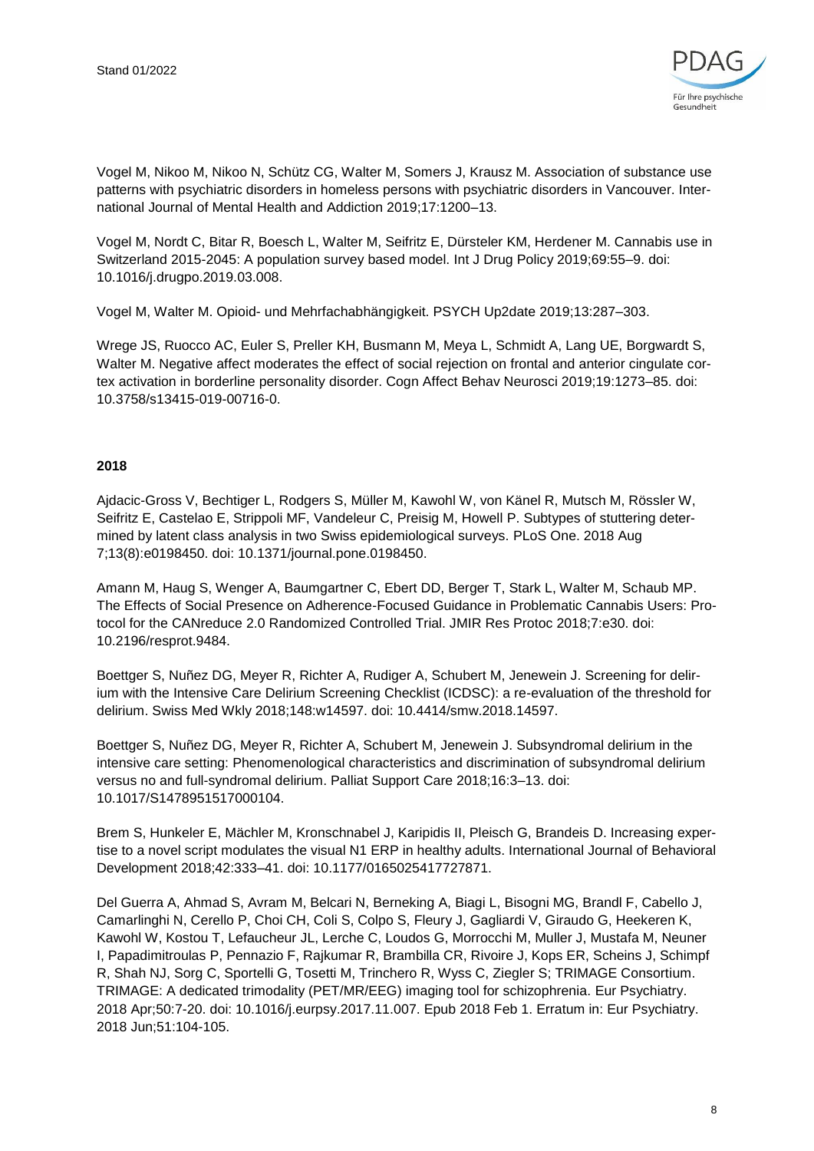

Vogel M, Nikoo M, Nikoo N, Schütz CG, Walter M, Somers J, Krausz M. Association of substance use patterns with psychiatric disorders in homeless persons with psychiatric disorders in Vancouver. International Journal of Mental Health and Addiction 2019;17:1200–13.

Vogel M, Nordt C, Bitar R, Boesch L, Walter M, Seifritz E, Dürsteler KM, Herdener M. Cannabis use in Switzerland 2015-2045: A population survey based model. Int J Drug Policy 2019;69:55–9. doi: 10.1016/j.drugpo.2019.03.008.

Vogel M, Walter M. Opioid- und Mehrfachabhängigkeit. PSYCH Up2date 2019;13:287–303.

Wrege JS, Ruocco AC, Euler S, Preller KH, Busmann M, Meya L, Schmidt A, Lang UE, Borgwardt S, Walter M. Negative affect moderates the effect of social rejection on frontal and anterior cingulate cortex activation in borderline personality disorder. Cogn Affect Behav Neurosci 2019;19:1273–85. doi: 10.3758/s13415-019-00716-0.

#### **2018**

Ajdacic-Gross V, Bechtiger L, Rodgers S, Müller M, Kawohl W, von Känel R, Mutsch M, Rössler W, Seifritz E, Castelao E, Strippoli MF, Vandeleur C, Preisig M, Howell P. Subtypes of stuttering determined by latent class analysis in two Swiss epidemiological surveys. PLoS One. 2018 Aug 7;13(8):e0198450. doi: 10.1371/journal.pone.0198450.

Amann M, Haug S, Wenger A, Baumgartner C, Ebert DD, Berger T, Stark L, Walter M, Schaub MP. The Effects of Social Presence on Adherence-Focused Guidance in Problematic Cannabis Users: Protocol for the CANreduce 2.0 Randomized Controlled Trial. JMIR Res Protoc 2018;7:e30. doi: 10.2196/resprot.9484.

Boettger S, Nuñez DG, Meyer R, Richter A, Rudiger A, Schubert M, Jenewein J. Screening for delirium with the Intensive Care Delirium Screening Checklist (ICDSC): a re-evaluation of the threshold for delirium. Swiss Med Wkly 2018;148:w14597. doi: 10.4414/smw.2018.14597.

Boettger S, Nuñez DG, Meyer R, Richter A, Schubert M, Jenewein J. Subsyndromal delirium in the intensive care setting: Phenomenological characteristics and discrimination of subsyndromal delirium versus no and full-syndromal delirium. Palliat Support Care 2018;16:3–13. doi: 10.1017/S1478951517000104.

Brem S, Hunkeler E, Mächler M, Kronschnabel J, Karipidis II, Pleisch G, Brandeis D. Increasing expertise to a novel script modulates the visual N1 ERP in healthy adults. International Journal of Behavioral Development 2018;42:333–41. doi: 10.1177/0165025417727871.

Del Guerra A, Ahmad S, Avram M, Belcari N, Berneking A, Biagi L, Bisogni MG, Brandl F, Cabello J, Camarlinghi N, Cerello P, Choi CH, Coli S, Colpo S, Fleury J, Gagliardi V, Giraudo G, Heekeren K, Kawohl W, Kostou T, Lefaucheur JL, Lerche C, Loudos G, Morrocchi M, Muller J, Mustafa M, Neuner I, Papadimitroulas P, Pennazio F, Rajkumar R, Brambilla CR, Rivoire J, Kops ER, Scheins J, Schimpf R, Shah NJ, Sorg C, Sportelli G, Tosetti M, Trinchero R, Wyss C, Ziegler S; TRIMAGE Consortium. TRIMAGE: A dedicated trimodality (PET/MR/EEG) imaging tool for schizophrenia. Eur Psychiatry. 2018 Apr;50:7-20. doi: 10.1016/j.eurpsy.2017.11.007. Epub 2018 Feb 1. Erratum in: Eur Psychiatry. 2018 Jun;51:104-105.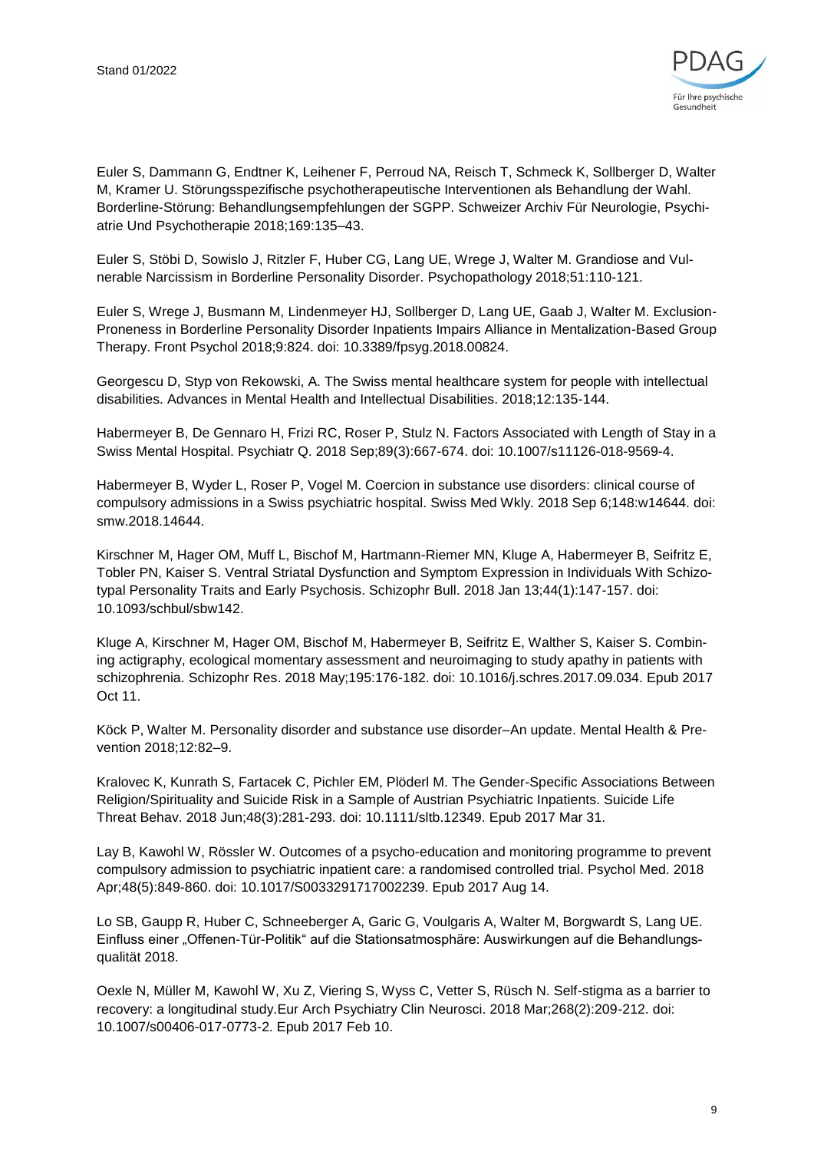

Euler S, Dammann G, Endtner K, Leihener F, Perroud NA, Reisch T, Schmeck K, Sollberger D, Walter M, Kramer U. Störungsspezifische psychotherapeutische Interventionen als Behandlung der Wahl. Borderline-Störung: Behandlungsempfehlungen der SGPP. Schweizer Archiv Für Neurologie, Psychiatrie Und Psychotherapie 2018;169:135–43.

Euler S, Stöbi D, Sowislo J, Ritzler F, Huber CG, Lang UE, Wrege J, Walter M. Grandiose and Vulnerable Narcissism in Borderline Personality Disorder. Psychopathology 2018;51:110-121.

Euler S, Wrege J, Busmann M, Lindenmeyer HJ, Sollberger D, Lang UE, Gaab J, Walter M. Exclusion-Proneness in Borderline Personality Disorder Inpatients Impairs Alliance in Mentalization-Based Group Therapy. Front Psychol 2018;9:824. doi: 10.3389/fpsyg.2018.00824.

Georgescu D, Styp von Rekowski, A. The Swiss mental healthcare system for people with intellectual disabilities. Advances in Mental Health and Intellectual Disabilities. 2018;12:135-144.

Habermeyer B, De Gennaro H, Frizi RC, Roser P, Stulz N. Factors Associated with Length of Stay in a Swiss Mental Hospital. Psychiatr Q. 2018 Sep;89(3):667-674. doi: 10.1007/s11126-018-9569-4.

Habermeyer B, Wyder L, Roser P, Vogel M. Coercion in substance use disorders: clinical course of compulsory admissions in a Swiss psychiatric hospital. Swiss Med Wkly. 2018 Sep 6;148:w14644. doi: smw.2018.14644.

Kirschner M, Hager OM, Muff L, Bischof M, Hartmann-Riemer MN, Kluge A, Habermeyer B, Seifritz E, Tobler PN, Kaiser S. Ventral Striatal Dysfunction and Symptom Expression in Individuals With Schizotypal Personality Traits and Early Psychosis. Schizophr Bull. 2018 Jan 13;44(1):147-157. doi: 10.1093/schbul/sbw142.

Kluge A, Kirschner M, Hager OM, Bischof M, Habermeyer B, Seifritz E, Walther S, Kaiser S. Combining actigraphy, ecological momentary assessment and neuroimaging to study apathy in patients with schizophrenia. Schizophr Res. 2018 May;195:176-182. doi: 10.1016/j.schres.2017.09.034. Epub 2017 Oct 11.

Köck P, Walter M. Personality disorder and substance use disorder–An update. Mental Health & Prevention 2018;12:82–9.

Kralovec K, Kunrath S, Fartacek C, Pichler EM, Plöderl M. The Gender-Specific Associations Between Religion/Spirituality and Suicide Risk in a Sample of Austrian Psychiatric Inpatients. Suicide Life Threat Behav. 2018 Jun;48(3):281-293. doi: 10.1111/sltb.12349. Epub 2017 Mar 31.

Lay B, Kawohl W, Rössler W. Outcomes of a psycho-education and monitoring programme to prevent compulsory admission to psychiatric inpatient care: a randomised controlled trial. Psychol Med. 2018 Apr;48(5):849-860. doi: 10.1017/S0033291717002239. Epub 2017 Aug 14.

Lo SB, Gaupp R, Huber C, Schneeberger A, Garic G, Voulgaris A, Walter M, Borgwardt S, Lang UE. Einfluss einer "Offenen-Tür-Politik" auf die Stationsatmosphäre: Auswirkungen auf die Behandlungsqualität 2018.

Oexle N, Müller M, Kawohl W, Xu Z, Viering S, Wyss C, Vetter S, Rüsch N. Self-stigma as a barrier to recovery: a longitudinal study.Eur Arch Psychiatry Clin Neurosci. 2018 Mar;268(2):209-212. doi: 10.1007/s00406-017-0773-2. Epub 2017 Feb 10.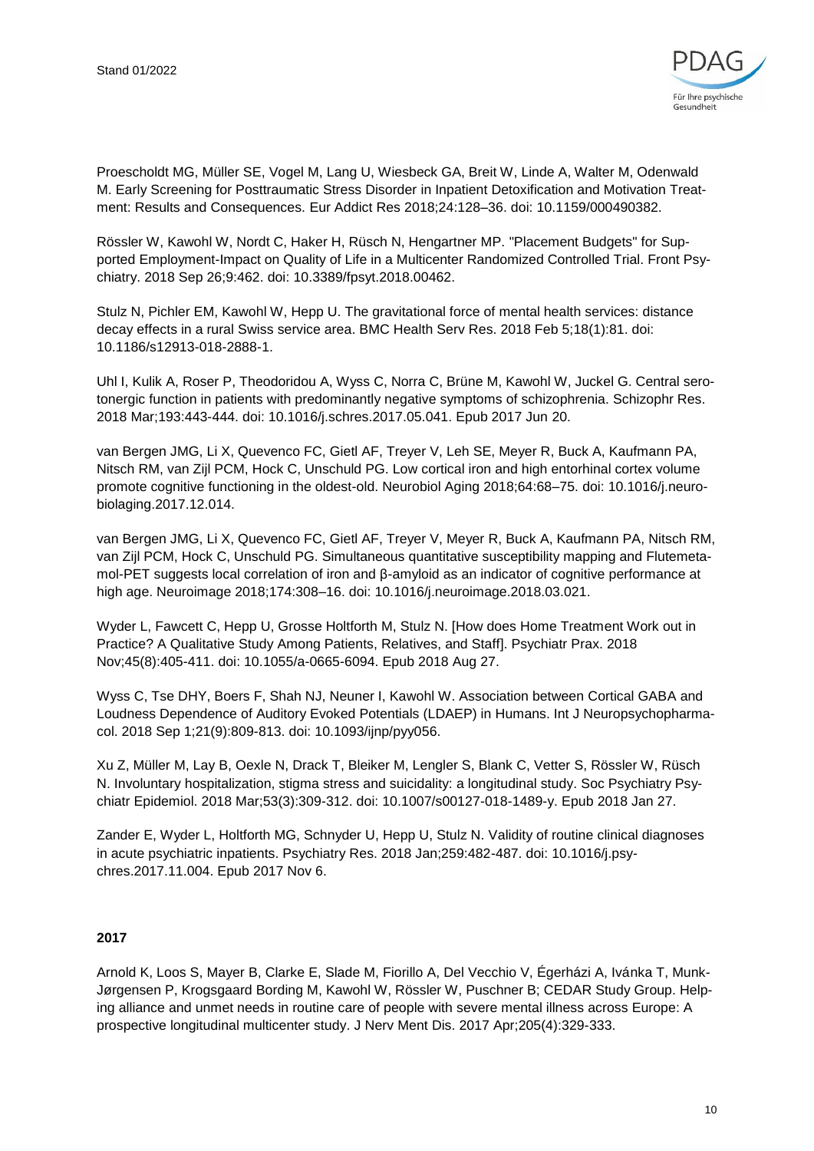

Proescholdt MG, Müller SE, Vogel M, Lang U, Wiesbeck GA, Breit W, Linde A, Walter M, Odenwald M. Early Screening for Posttraumatic Stress Disorder in Inpatient Detoxification and Motivation Treatment: Results and Consequences. Eur Addict Res 2018;24:128–36. doi: 10.1159/000490382.

Rössler W, Kawohl W, Nordt C, Haker H, Rüsch N, Hengartner MP. "Placement Budgets" for Supported Employment-Impact on Quality of Life in a Multicenter Randomized Controlled Trial. Front Psychiatry. 2018 Sep 26;9:462. doi: 10.3389/fpsyt.2018.00462.

Stulz N, Pichler EM, Kawohl W, Hepp U. The gravitational force of mental health services: distance decay effects in a rural Swiss service area. BMC Health Serv Res. 2018 Feb 5;18(1):81. doi: 10.1186/s12913-018-2888-1.

Uhl I, Kulik A, Roser P, Theodoridou A, Wyss C, Norra C, Brüne M, Kawohl W, Juckel G. Central serotonergic function in patients with predominantly negative symptoms of schizophrenia. Schizophr Res. 2018 Mar;193:443-444. doi: 10.1016/j.schres.2017.05.041. Epub 2017 Jun 20.

van Bergen JMG, Li X, Quevenco FC, Gietl AF, Treyer V, Leh SE, Meyer R, Buck A, Kaufmann PA, Nitsch RM, van Zijl PCM, Hock C, Unschuld PG. Low cortical iron and high entorhinal cortex volume promote cognitive functioning in the oldest-old. Neurobiol Aging 2018;64:68–75. doi: 10.1016/j.neurobiolaging.2017.12.014.

van Bergen JMG, Li X, Quevenco FC, Gietl AF, Treyer V, Meyer R, Buck A, Kaufmann PA, Nitsch RM, van Zijl PCM, Hock C, Unschuld PG. Simultaneous quantitative susceptibility mapping and Flutemetamol-PET suggests local correlation of iron and β-amyloid as an indicator of cognitive performance at high age. Neuroimage 2018;174:308–16. doi: 10.1016/j.neuroimage.2018.03.021.

Wyder L, Fawcett C, Hepp U, Grosse Holtforth M, Stulz N. [How does Home Treatment Work out in Practice? A Qualitative Study Among Patients, Relatives, and Staff]. Psychiatr Prax. 2018 Nov;45(8):405-411. doi: 10.1055/a-0665-6094. Epub 2018 Aug 27.

Wyss C, Tse DHY, Boers F, Shah NJ, Neuner I, Kawohl W. Association between Cortical GABA and Loudness Dependence of Auditory Evoked Potentials (LDAEP) in Humans. Int J Neuropsychopharmacol. 2018 Sep 1;21(9):809-813. doi: 10.1093/ijnp/pyy056.

Xu Z, Müller M, Lay B, Oexle N, Drack T, Bleiker M, Lengler S, Blank C, Vetter S, Rössler W, Rüsch N. Involuntary hospitalization, stigma stress and suicidality: a longitudinal study. Soc Psychiatry Psychiatr Epidemiol. 2018 Mar;53(3):309-312. doi: 10.1007/s00127-018-1489-y. Epub 2018 Jan 27.

Zander E, Wyder L, Holtforth MG, Schnyder U, Hepp U, Stulz N. Validity of routine clinical diagnoses in acute psychiatric inpatients. Psychiatry Res. 2018 Jan;259:482-487. doi: 10.1016/j.psychres.2017.11.004. Epub 2017 Nov 6.

#### **2017**

Arnold K, Loos S, Mayer B, Clarke E, Slade M, Fiorillo A, Del Vecchio V, Égerházi A, Ivánka T, Munk-Jørgensen P, Krogsgaard Bording M, Kawohl W, Rössler W, Puschner B; CEDAR Study Group. Helping alliance and unmet needs in routine care of people with severe mental illness across Europe: A prospective longitudinal multicenter study. J Nerv Ment Dis. 2017 Apr;205(4):329-333.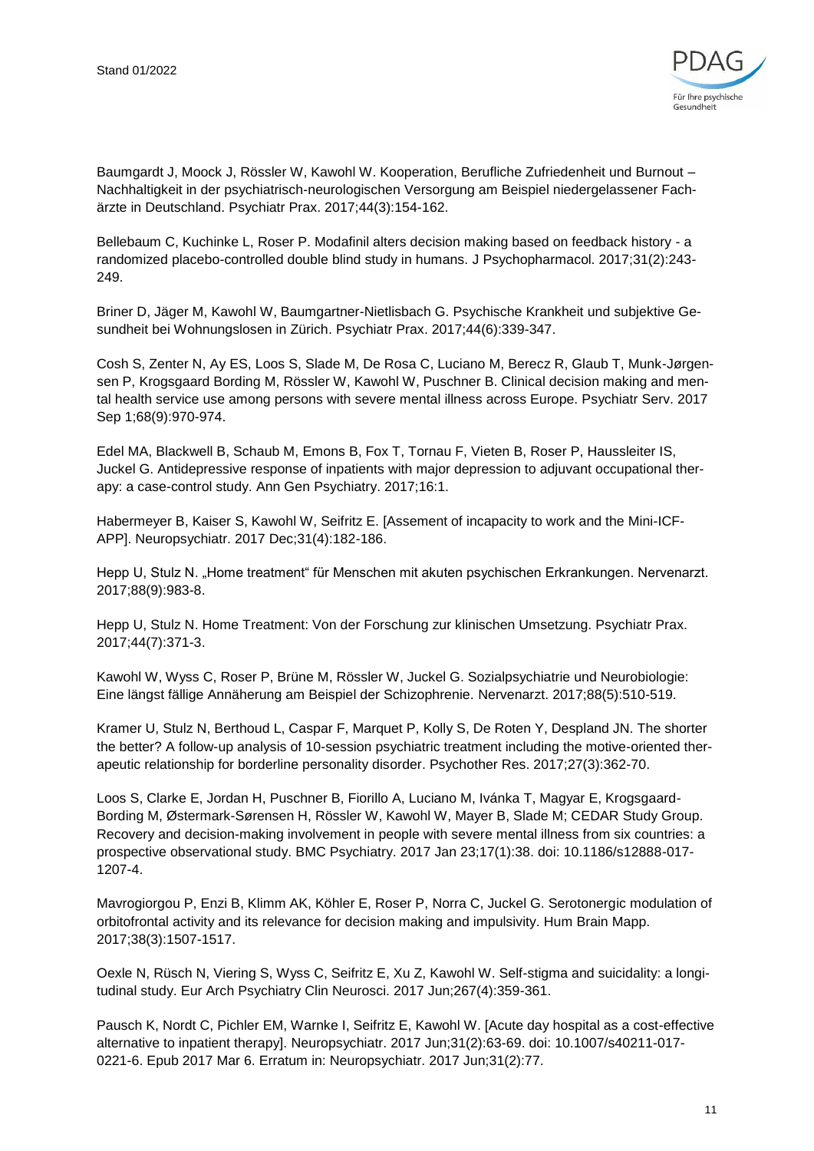

Baumgardt J, Moock J, Rössler W, Kawohl W. Kooperation, Berufliche Zufriedenheit und Burnout – Nachhaltigkeit in der psychiatrisch-neurologischen Versorgung am Beispiel niedergelassener Fachärzte in Deutschland. Psychiatr Prax. 2017;44(3):154-162.

Bellebaum C, Kuchinke L, Roser P. Modafinil alters decision making based on feedback history - a randomized placebo-controlled double blind study in humans. J Psychopharmacol. 2017;31(2):243- 249.

Briner D, Jäger M, Kawohl W, Baumgartner-Nietlisbach G. Psychische Krankheit und subjektive Gesundheit bei Wohnungslosen in Zürich. Psychiatr Prax. 2017;44(6):339-347.

Cosh S, Zenter N, Ay ES, Loos S, Slade M, De Rosa C, Luciano M, Berecz R, Glaub T, Munk-Jørgensen P, Krogsgaard Bording M, Rössler W, Kawohl W, Puschner B. Clinical decision making and mental health service use among persons with severe mental illness across Europe. Psychiatr Serv. 2017 Sep 1;68(9):970-974.

Edel MA, Blackwell B, Schaub M, Emons B, Fox T, Tornau F, Vieten B, Roser P, Haussleiter IS, Juckel G. Antidepressive response of inpatients with major depression to adjuvant occupational therapy: a case-control study. Ann Gen Psychiatry. 2017;16:1.

Habermeyer B, Kaiser S, Kawohl W, Seifritz E. [Assement of incapacity to work and the Mini-ICF-APP]. Neuropsychiatr. 2017 Dec;31(4):182-186.

Hepp U, Stulz N. "Home treatment" für Menschen mit akuten psychischen Erkrankungen. Nervenarzt. 2017;88(9):983-8.

Hepp U, Stulz N. Home Treatment: Von der Forschung zur klinischen Umsetzung. Psychiatr Prax. 2017;44(7):371-3.

Kawohl W, Wyss C, Roser P, Brüne M, Rössler W, Juckel G. Sozialpsychiatrie und Neurobiologie: Eine längst fällige Annäherung am Beispiel der Schizophrenie. Nervenarzt. 2017;88(5):510-519.

Kramer U, Stulz N, Berthoud L, Caspar F, Marquet P, Kolly S, De Roten Y, Despland JN. The shorter the better? A follow-up analysis of 10-session psychiatric treatment including the motive-oriented therapeutic relationship for borderline personality disorder. Psychother Res. 2017;27(3):362-70.

Loos S, Clarke E, Jordan H, Puschner B, Fiorillo A, Luciano M, Ivánka T, Magyar E, Krogsgaard-Bording M, Østermark-Sørensen H, Rössler W, Kawohl W, Mayer B, Slade M; CEDAR Study Group. Recovery and decision-making involvement in people with severe mental illness from six countries: a prospective observational study. BMC Psychiatry. 2017 Jan 23;17(1):38. doi: 10.1186/s12888-017- 1207-4.

Mavrogiorgou P, Enzi B, Klimm AK, Köhler E, Roser P, Norra C, Juckel G. Serotonergic modulation of orbitofrontal activity and its relevance for decision making and impulsivity. Hum Brain Mapp. 2017;38(3):1507-1517.

Oexle N, Rüsch N, Viering S, Wyss C, Seifritz E, Xu Z, Kawohl W. Self-stigma and suicidality: a longitudinal study. Eur Arch Psychiatry Clin Neurosci. 2017 Jun;267(4):359-361.

Pausch K, Nordt C, Pichler EM, Warnke I, Seifritz E, Kawohl W. [Acute day hospital as a cost-effective alternative to inpatient therapy]. Neuropsychiatr. 2017 Jun;31(2):63-69. doi: 10.1007/s40211-017- 0221-6. Epub 2017 Mar 6. Erratum in: Neuropsychiatr. 2017 Jun;31(2):77.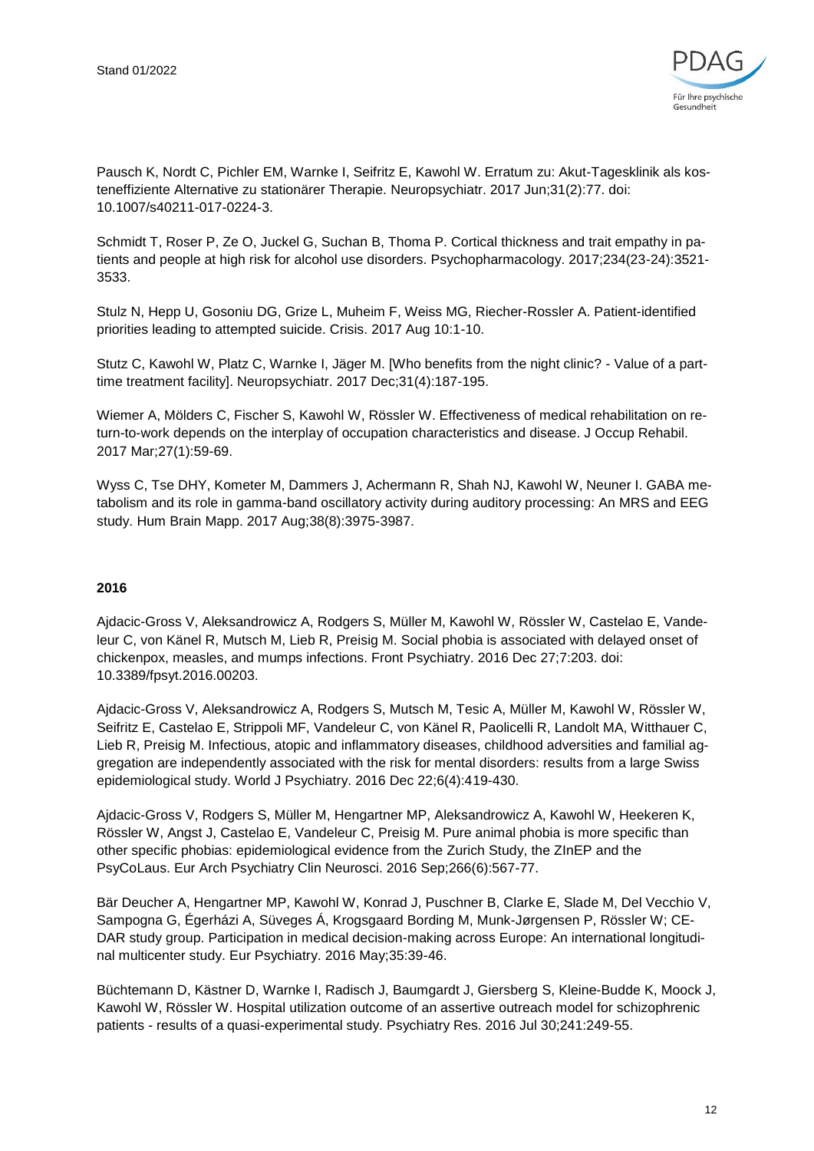

Pausch K, Nordt C, Pichler EM, Warnke I, Seifritz E, Kawohl W. Erratum zu: Akut-Tagesklinik als kosteneffiziente Alternative zu stationärer Therapie. Neuropsychiatr. 2017 Jun;31(2):77. doi: 10.1007/s40211-017-0224-3.

Schmidt T, Roser P, Ze O, Juckel G, Suchan B, Thoma P. Cortical thickness and trait empathy in patients and people at high risk for alcohol use disorders. Psychopharmacology. 2017;234(23-24):3521- 3533.

Stulz N, Hepp U, Gosoniu DG, Grize L, Muheim F, Weiss MG, Riecher-Rossler A. Patient-identified priorities leading to attempted suicide. Crisis. 2017 Aug 10:1-10.

Stutz C, Kawohl W, Platz C, Warnke I, Jäger M. [Who benefits from the night clinic? - Value of a parttime treatment facility]. Neuropsychiatr. 2017 Dec;31(4):187-195.

Wiemer A, Mölders C, Fischer S, Kawohl W, Rössler W. Effectiveness of medical rehabilitation on return-to-work depends on the interplay of occupation characteristics and disease. J Occup Rehabil. 2017 Mar;27(1):59-69.

Wyss C, Tse DHY, Kometer M, Dammers J, Achermann R, Shah NJ, Kawohl W, Neuner I. GABA metabolism and its role in gamma-band oscillatory activity during auditory processing: An MRS and EEG study. Hum Brain Mapp. 2017 Aug;38(8):3975-3987.

#### **2016**

Ajdacic-Gross V, Aleksandrowicz A, Rodgers S, Müller M, Kawohl W, Rössler W, Castelao E, Vandeleur C, von Känel R, Mutsch M, Lieb R, Preisig M. Social phobia is associated with delayed onset of chickenpox, measles, and mumps infections. Front Psychiatry. 2016 Dec 27;7:203. doi: 10.3389/fpsyt.2016.00203.

Ajdacic-Gross V, Aleksandrowicz A, Rodgers S, Mutsch M, Tesic A, Müller M, Kawohl W, Rössler W, Seifritz E, Castelao E, Strippoli MF, Vandeleur C, von Känel R, Paolicelli R, Landolt MA, Witthauer C, Lieb R, Preisig M. Infectious, atopic and inflammatory diseases, childhood adversities and familial aggregation are independently associated with the risk for mental disorders: results from a large Swiss epidemiological study. World J Psychiatry. 2016 Dec 22;6(4):419-430.

Ajdacic-Gross V, Rodgers S, Müller M, Hengartner MP, Aleksandrowicz A, Kawohl W, Heekeren K, Rössler W, Angst J, Castelao E, Vandeleur C, Preisig M. Pure animal phobia is more specific than other specific phobias: epidemiological evidence from the Zurich Study, the ZInEP and the PsyCoLaus. Eur Arch Psychiatry Clin Neurosci. 2016 Sep;266(6):567-77.

Bär Deucher A, Hengartner MP, Kawohl W, Konrad J, Puschner B, Clarke E, Slade M, Del Vecchio V, Sampogna G, Égerházi A, Süveges Á, Krogsgaard Bording M, Munk-Jørgensen P, Rössler W; CE-DAR study group. Participation in medical decision-making across Europe: An international longitudinal multicenter study. Eur Psychiatry. 2016 May;35:39-46.

Büchtemann D, Kästner D, Warnke I, Radisch J, Baumgardt J, Giersberg S, Kleine-Budde K, Moock J, Kawohl W, Rössler W. Hospital utilization outcome of an assertive outreach model for schizophrenic patients - results of a quasi-experimental study. Psychiatry Res. 2016 Jul 30;241:249-55.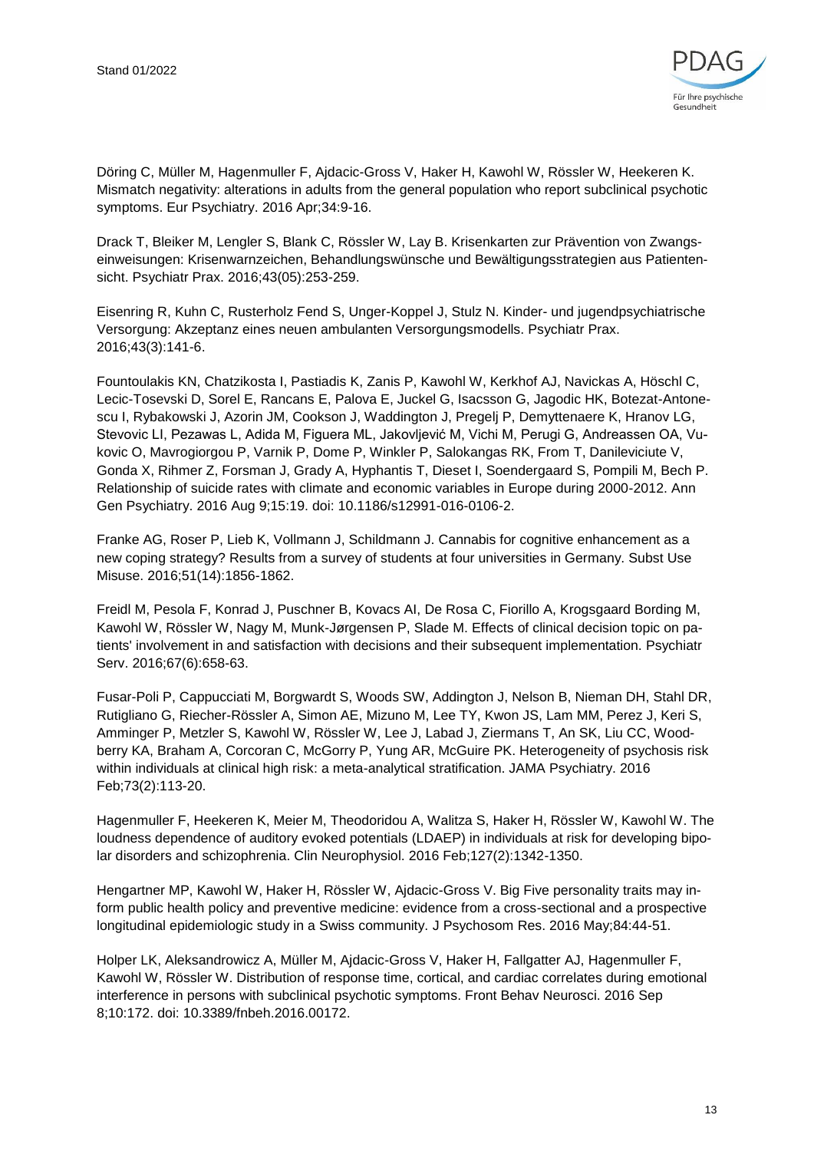

Döring C, Müller M, Hagenmuller F, Ajdacic-Gross V, Haker H, Kawohl W, Rössler W, Heekeren K. Mismatch negativity: alterations in adults from the general population who report subclinical psychotic symptoms. Eur Psychiatry. 2016 Apr;34:9-16.

Drack T, Bleiker M, Lengler S, Blank C, Rössler W, Lay B. Krisenkarten zur Prävention von Zwangseinweisungen: Krisenwarnzeichen, Behandlungswünsche und Bewältigungsstrategien aus Patientensicht. Psychiatr Prax. 2016;43(05):253-259.

Eisenring R, Kuhn C, Rusterholz Fend S, Unger-Koppel J, Stulz N. Kinder- und jugendpsychiatrische Versorgung: Akzeptanz eines neuen ambulanten Versorgungsmodells. Psychiatr Prax. 2016;43(3):141-6.

Fountoulakis KN, Chatzikosta I, Pastiadis K, Zanis P, Kawohl W, Kerkhof AJ, Navickas A, Höschl C, Lecic-Tosevski D, Sorel E, Rancans E, Palova E, Juckel G, Isacsson G, Jagodic HK, Botezat-Antonescu I, Rybakowski J, Azorin JM, Cookson J, Waddington J, Pregelj P, Demyttenaere K, Hranov LG, Stevovic LI, Pezawas L, Adida M, Figuera ML, Jakovljević M, Vichi M, Perugi G, Andreassen OA, Vukovic O, Mavrogiorgou P, Varnik P, Dome P, Winkler P, Salokangas RK, From T, Danileviciute V, Gonda X, Rihmer Z, Forsman J, Grady A, Hyphantis T, Dieset I, Soendergaard S, Pompili M, Bech P. Relationship of suicide rates with climate and economic variables in Europe during 2000-2012. Ann Gen Psychiatry. 2016 Aug 9;15:19. doi: 10.1186/s12991-016-0106-2.

Franke AG, Roser P, Lieb K, Vollmann J, Schildmann J. Cannabis for cognitive enhancement as a new coping strategy? Results from a survey of students at four universities in Germany. Subst Use Misuse. 2016;51(14):1856-1862.

Freidl M, Pesola F, Konrad J, Puschner B, Kovacs AI, De Rosa C, Fiorillo A, Krogsgaard Bording M, Kawohl W, Rössler W, Nagy M, Munk-Jørgensen P, Slade M. Effects of clinical decision topic on patients' involvement in and satisfaction with decisions and their subsequent implementation. Psychiatr Serv. 2016;67(6):658-63.

Fusar-Poli P, Cappucciati M, Borgwardt S, Woods SW, Addington J, Nelson B, Nieman DH, Stahl DR, Rutigliano G, Riecher-Rössler A, Simon AE, Mizuno M, Lee TY, Kwon JS, Lam MM, Perez J, Keri S, Amminger P, Metzler S, Kawohl W, Rössler W, Lee J, Labad J, Ziermans T, An SK, Liu CC, Woodberry KA, Braham A, Corcoran C, McGorry P, Yung AR, McGuire PK. Heterogeneity of psychosis risk within individuals at clinical high risk: a meta-analytical stratification. JAMA Psychiatry. 2016 Feb;73(2):113-20.

Hagenmuller F, Heekeren K, Meier M, Theodoridou A, Walitza S, Haker H, Rössler W, Kawohl W. The loudness dependence of auditory evoked potentials (LDAEP) in individuals at risk for developing bipolar disorders and schizophrenia. Clin Neurophysiol. 2016 Feb;127(2):1342-1350.

Hengartner MP, Kawohl W, Haker H, Rössler W, Ajdacic-Gross V. Big Five personality traits may inform public health policy and preventive medicine: evidence from a cross-sectional and a prospective longitudinal epidemiologic study in a Swiss community. J Psychosom Res. 2016 May;84:44-51.

Holper LK, Aleksandrowicz A, Müller M, Ajdacic-Gross V, Haker H, Fallgatter AJ, Hagenmuller F, Kawohl W, Rössler W. Distribution of response time, cortical, and cardiac correlates during emotional interference in persons with subclinical psychotic symptoms. Front Behav Neurosci. 2016 Sep 8;10:172. doi: 10.3389/fnbeh.2016.00172.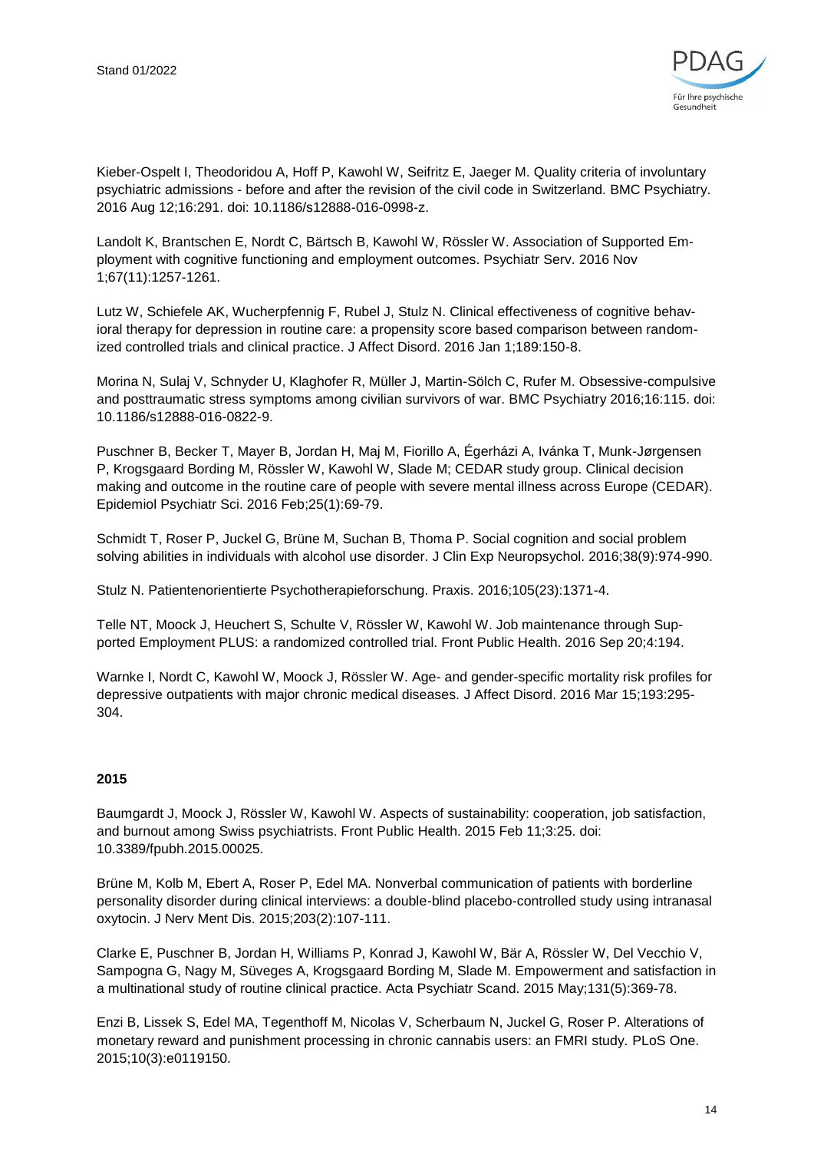

Kieber-Ospelt I, Theodoridou A, Hoff P, Kawohl W, Seifritz E, Jaeger M. Quality criteria of involuntary psychiatric admissions - before and after the revision of the civil code in Switzerland. BMC Psychiatry. 2016 Aug 12;16:291. doi: 10.1186/s12888-016-0998-z.

Landolt K, Brantschen E, Nordt C, Bärtsch B, Kawohl W, Rössler W. Association of Supported Employment with cognitive functioning and employment outcomes. Psychiatr Serv. 2016 Nov 1;67(11):1257-1261.

Lutz W, Schiefele AK, Wucherpfennig F, Rubel J, Stulz N. Clinical effectiveness of cognitive behavioral therapy for depression in routine care: a propensity score based comparison between randomized controlled trials and clinical practice. J Affect Disord. 2016 Jan 1;189:150-8.

Morina N, Sulaj V, Schnyder U, Klaghofer R, Müller J, Martin-Sölch C, Rufer M. Obsessive-compulsive and posttraumatic stress symptoms among civilian survivors of war. BMC Psychiatry 2016;16:115. doi: 10.1186/s12888-016-0822-9.

Puschner B, Becker T, Mayer B, Jordan H, Maj M, Fiorillo A, Égerházi A, Ivánka T, Munk-Jørgensen P, Krogsgaard Bording M, Rössler W, Kawohl W, Slade M; CEDAR study group. Clinical decision making and outcome in the routine care of people with severe mental illness across Europe (CEDAR). Epidemiol Psychiatr Sci. 2016 Feb;25(1):69-79.

Schmidt T, Roser P, Juckel G, Brüne M, Suchan B, Thoma P. Social cognition and social problem solving abilities in individuals with alcohol use disorder. J Clin Exp Neuropsychol. 2016;38(9):974-990.

Stulz N. Patientenorientierte Psychotherapieforschung. Praxis. 2016;105(23):1371-4.

Telle NT, Moock J, Heuchert S, Schulte V, Rössler W, Kawohl W. Job maintenance through Supported Employment PLUS: a randomized controlled trial. Front Public Health. 2016 Sep 20;4:194.

Warnke I, Nordt C, Kawohl W, Moock J, Rössler W. Age- and gender-specific mortality risk profiles for depressive outpatients with major chronic medical diseases. J Affect Disord. 2016 Mar 15;193:295- 304.

#### **2015**

Baumgardt J, Moock J, Rössler W, Kawohl W. Aspects of sustainability: cooperation, job satisfaction, and burnout among Swiss psychiatrists. Front Public Health. 2015 Feb 11;3:25. doi: 10.3389/fpubh.2015.00025.

Brüne M, Kolb M, Ebert A, Roser P, Edel MA. Nonverbal communication of patients with borderline personality disorder during clinical interviews: a double-blind placebo-controlled study using intranasal oxytocin. J Nerv Ment Dis. 2015;203(2):107-111.

Clarke E, Puschner B, Jordan H, Williams P, Konrad J, Kawohl W, Bär A, Rössler W, Del Vecchio V, Sampogna G, Nagy M, Süveges A, Krogsgaard Bording M, Slade M. Empowerment and satisfaction in a multinational study of routine clinical practice. Acta Psychiatr Scand. 2015 May;131(5):369-78.

Enzi B, Lissek S, Edel MA, Tegenthoff M, Nicolas V, Scherbaum N, Juckel G, Roser P. Alterations of monetary reward and punishment processing in chronic cannabis users: an FMRI study. PLoS One. 2015;10(3):e0119150.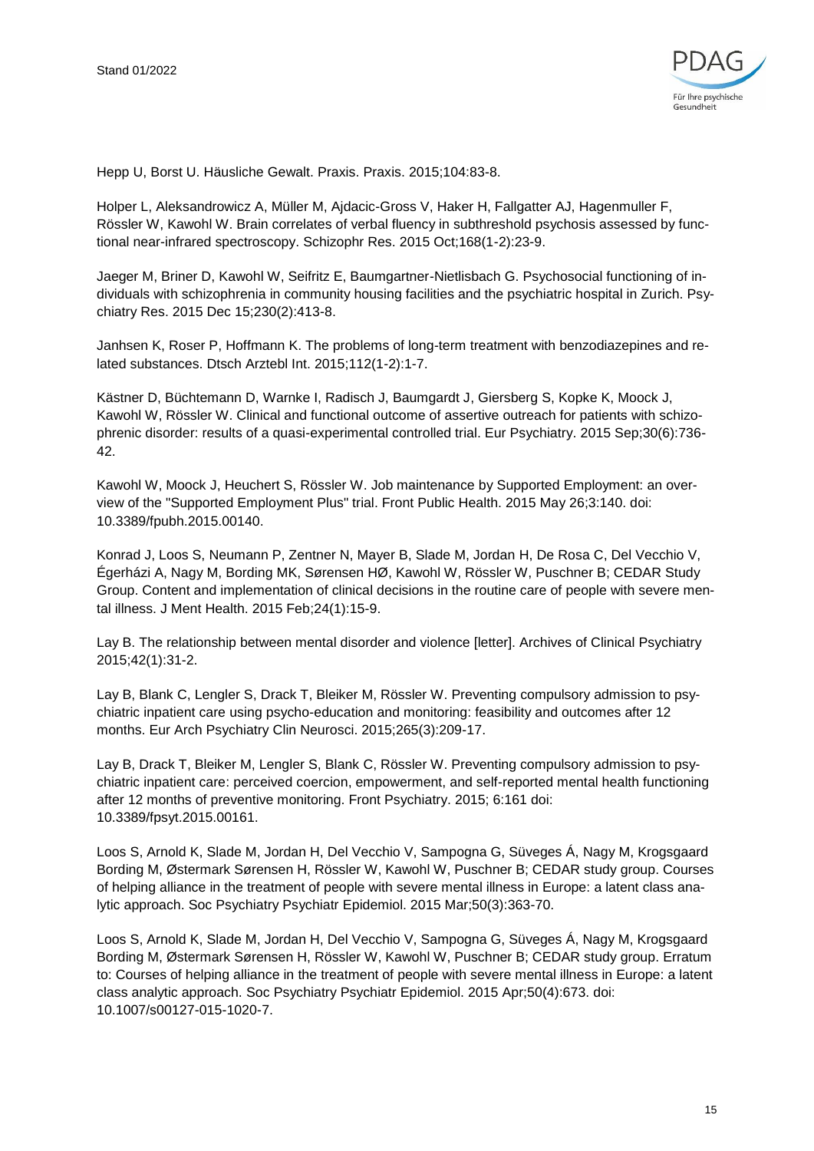

Hepp U, Borst U. Häusliche Gewalt. Praxis. Praxis. 2015;104:83-8.

Holper L, Aleksandrowicz A, Müller M, Ajdacic-Gross V, Haker H, Fallgatter AJ, Hagenmuller F, Rössler W, Kawohl W. Brain correlates of verbal fluency in subthreshold psychosis assessed by functional near-infrared spectroscopy. Schizophr Res. 2015 Oct;168(1-2):23-9.

Jaeger M, Briner D, Kawohl W, Seifritz E, Baumgartner-Nietlisbach G. Psychosocial functioning of individuals with schizophrenia in community housing facilities and the psychiatric hospital in Zurich. Psychiatry Res. 2015 Dec 15;230(2):413-8.

Janhsen K, Roser P, Hoffmann K. The problems of long-term treatment with benzodiazepines and related substances. Dtsch Arztebl Int. 2015;112(1-2):1-7.

Kästner D, Büchtemann D, Warnke I, Radisch J, Baumgardt J, Giersberg S, Kopke K, Moock J, Kawohl W, Rössler W. Clinical and functional outcome of assertive outreach for patients with schizophrenic disorder: results of a quasi-experimental controlled trial. Eur Psychiatry. 2015 Sep;30(6):736- 42.

Kawohl W, Moock J, Heuchert S, Rössler W. Job maintenance by Supported Employment: an overview of the "Supported Employment Plus" trial. Front Public Health. 2015 May 26;3:140. doi: 10.3389/fpubh.2015.00140.

Konrad J, Loos S, Neumann P, Zentner N, Mayer B, Slade M, Jordan H, De Rosa C, Del Vecchio V, Égerházi A, Nagy M, Bording MK, Sørensen HØ, Kawohl W, Rössler W, Puschner B; CEDAR Study Group. Content and implementation of clinical decisions in the routine care of people with severe mental illness. J Ment Health. 2015 Feb;24(1):15-9.

Lay B. The relationship between mental disorder and violence [letter]. Archives of Clinical Psychiatry 2015;42(1):31-2.

Lay B, Blank C, Lengler S, Drack T, Bleiker M, Rössler W. Preventing compulsory admission to psychiatric inpatient care using psycho-education and monitoring: feasibility and outcomes after 12 months. Eur Arch Psychiatry Clin Neurosci. 2015;265(3):209-17.

Lay B, Drack T, Bleiker M, Lengler S, Blank C, Rössler W. Preventing compulsory admission to psychiatric inpatient care: perceived coercion, empowerment, and self-reported mental health functioning after 12 months of preventive monitoring. Front Psychiatry. 2015; 6:161 doi: 10.3389/fpsyt.2015.00161.

Loos S, Arnold K, Slade M, Jordan H, Del Vecchio V, Sampogna G, Süveges Á, Nagy M, Krogsgaard Bording M, Østermark Sørensen H, Rössler W, Kawohl W, Puschner B; CEDAR study group. Courses of helping alliance in the treatment of people with severe mental illness in Europe: a latent class analytic approach. Soc Psychiatry Psychiatr Epidemiol. 2015 Mar;50(3):363-70.

Loos S, Arnold K, Slade M, Jordan H, Del Vecchio V, Sampogna G, Süveges Á, Nagy M, Krogsgaard Bording M, Østermark Sørensen H, Rössler W, Kawohl W, Puschner B; CEDAR study group. Erratum to: Courses of helping alliance in the treatment of people with severe mental illness in Europe: a latent class analytic approach. Soc Psychiatry Psychiatr Epidemiol. 2015 Apr;50(4):673. doi: 10.1007/s00127-015-1020-7.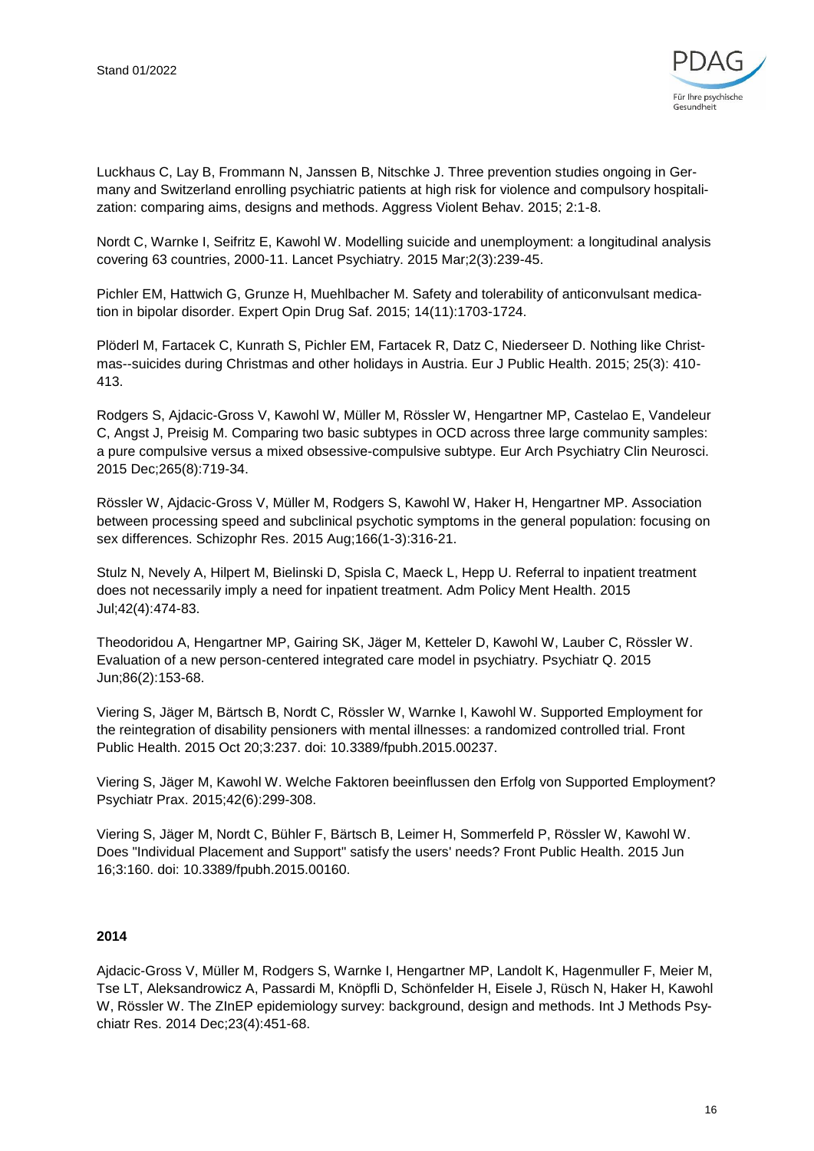

Luckhaus C, Lay B, Frommann N, Janssen B, Nitschke J. Three prevention studies ongoing in Germany and Switzerland enrolling psychiatric patients at high risk for violence and compulsory hospitalization: comparing aims, designs and methods. Aggress Violent Behav. 2015; 2:1-8.

Nordt C, Warnke I, Seifritz E, Kawohl W. Modelling suicide and unemployment: a longitudinal analysis covering 63 countries, 2000-11. Lancet Psychiatry. 2015 Mar;2(3):239-45.

Pichler EM, Hattwich G, Grunze H, Muehlbacher M. Safety and tolerability of anticonvulsant medication in bipolar disorder. Expert Opin Drug Saf. 2015; 14(11):1703-1724.

Plöderl M, Fartacek C, Kunrath S, Pichler EM, Fartacek R, Datz C, Niederseer D. Nothing like Christmas--suicides during Christmas and other holidays in Austria. Eur J Public Health. 2015; 25(3): 410- 413.

Rodgers S, Ajdacic-Gross V, Kawohl W, Müller M, Rössler W, Hengartner MP, Castelao E, Vandeleur C, Angst J, Preisig M. Comparing two basic subtypes in OCD across three large community samples: a pure compulsive versus a mixed obsessive-compulsive subtype. Eur Arch Psychiatry Clin Neurosci. 2015 Dec;265(8):719-34.

Rössler W, Ajdacic-Gross V, Müller M, Rodgers S, Kawohl W, Haker H, Hengartner MP. Association between processing speed and subclinical psychotic symptoms in the general population: focusing on sex differences. Schizophr Res. 2015 Aug;166(1-3):316-21.

Stulz N, Nevely A, Hilpert M, Bielinski D, Spisla C, Maeck L, Hepp U. Referral to inpatient treatment does not necessarily imply a need for inpatient treatment. Adm Policy Ment Health. 2015 Jul;42(4):474-83.

Theodoridou A, Hengartner MP, Gairing SK, Jäger M, Ketteler D, Kawohl W, Lauber C, Rössler W. Evaluation of a new person-centered integrated care model in psychiatry. Psychiatr Q. 2015 Jun;86(2):153-68.

Viering S, Jäger M, Bärtsch B, Nordt C, Rössler W, Warnke I, Kawohl W. Supported Employment for the reintegration of disability pensioners with mental illnesses: a randomized controlled trial. Front Public Health. 2015 Oct 20;3:237. doi: 10.3389/fpubh.2015.00237.

Viering S, Jäger M, Kawohl W. Welche Faktoren beeinflussen den Erfolg von Supported Employment? Psychiatr Prax. 2015;42(6):299-308.

Viering S, Jäger M, Nordt C, Bühler F, Bärtsch B, Leimer H, Sommerfeld P, Rössler W, Kawohl W. Does "Individual Placement and Support" satisfy the users' needs? Front Public Health. 2015 Jun 16;3:160. doi: 10.3389/fpubh.2015.00160.

#### **2014**

Ajdacic-Gross V, Müller M, Rodgers S, Warnke I, Hengartner MP, Landolt K, Hagenmuller F, Meier M, Tse LT, Aleksandrowicz A, Passardi M, Knöpfli D, Schönfelder H, Eisele J, Rüsch N, Haker H, Kawohl W, Rössler W. The ZInEP epidemiology survey: background, design and methods. Int J Methods Psychiatr Res. 2014 Dec;23(4):451-68.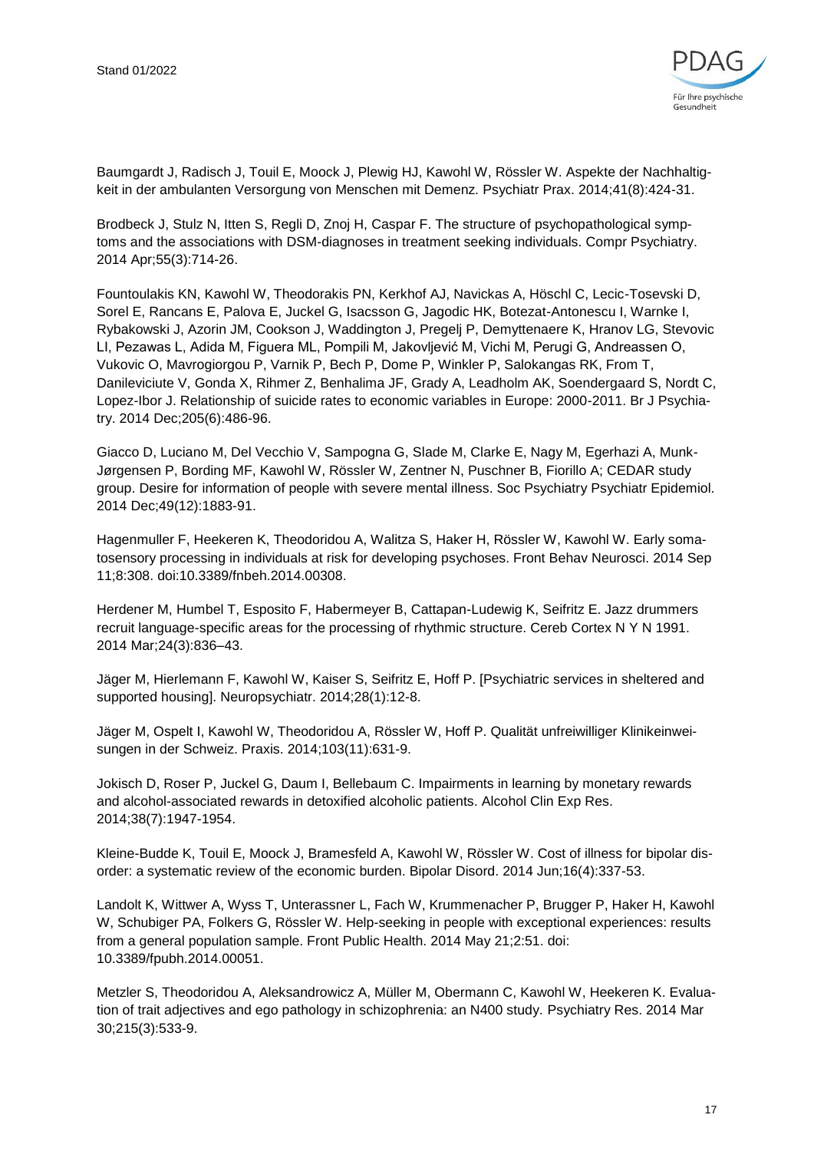

Baumgardt J, Radisch J, Touil E, Moock J, Plewig HJ, Kawohl W, Rössler W. Aspekte der Nachhaltigkeit in der ambulanten Versorgung von Menschen mit Demenz. Psychiatr Prax. 2014;41(8):424-31.

Brodbeck J, Stulz N, Itten S, Regli D, Znoj H, Caspar F. The structure of psychopathological symptoms and the associations with DSM-diagnoses in treatment seeking individuals. Compr Psychiatry. 2014 Apr;55(3):714-26.

Fountoulakis KN, Kawohl W, Theodorakis PN, Kerkhof AJ, Navickas A, Höschl C, Lecic-Tosevski D, Sorel E, Rancans E, Palova E, Juckel G, Isacsson G, Jagodic HK, Botezat-Antonescu I, Warnke I, Rybakowski J, Azorin JM, Cookson J, Waddington J, Pregelj P, Demyttenaere K, Hranov LG, Stevovic LI, Pezawas L, Adida M, Figuera ML, Pompili M, Jakovljević M, Vichi M, Perugi G, Andreassen O, Vukovic O, Mavrogiorgou P, Varnik P, Bech P, Dome P, Winkler P, Salokangas RK, From T, Danileviciute V, Gonda X, Rihmer Z, Benhalima JF, Grady A, Leadholm AK, Soendergaard S, Nordt C, Lopez-Ibor J. Relationship of suicide rates to economic variables in Europe: 2000-2011. Br J Psychiatry. 2014 Dec;205(6):486-96.

Giacco D, Luciano M, Del Vecchio V, Sampogna G, Slade M, Clarke E, Nagy M, Egerhazi A, Munk-Jørgensen P, Bording MF, Kawohl W, Rössler W, Zentner N, Puschner B, Fiorillo A; CEDAR study group. Desire for information of people with severe mental illness. Soc Psychiatry Psychiatr Epidemiol. 2014 Dec;49(12):1883-91.

Hagenmuller F, Heekeren K, Theodoridou A, Walitza S, Haker H, Rössler W, Kawohl W. Early somatosensory processing in individuals at risk for developing psychoses. Front Behav Neurosci. 2014 Sep 11;8:308. doi:10.3389/fnbeh.2014.00308.

Herdener M, Humbel T, Esposito F, Habermeyer B, Cattapan-Ludewig K, Seifritz E. Jazz drummers recruit language-specific areas for the processing of rhythmic structure. Cereb Cortex N Y N 1991. 2014 Mar;24(3):836–43.

Jäger M, Hierlemann F, Kawohl W, Kaiser S, Seifritz E, Hoff P. [Psychiatric services in sheltered and supported housing]. Neuropsychiatr. 2014;28(1):12-8.

Jäger M, Ospelt I, Kawohl W, Theodoridou A, Rössler W, Hoff P. Qualität unfreiwilliger Klinikeinweisungen in der Schweiz. Praxis. 2014;103(11):631-9.

Jokisch D, Roser P, Juckel G, Daum I, Bellebaum C. Impairments in learning by monetary rewards and alcohol-associated rewards in detoxified alcoholic patients. Alcohol Clin Exp Res. 2014;38(7):1947-1954.

Kleine-Budde K, Touil E, Moock J, Bramesfeld A, Kawohl W, Rössler W. Cost of illness for bipolar disorder: a systematic review of the economic burden. Bipolar Disord. 2014 Jun;16(4):337-53.

Landolt K, Wittwer A, Wyss T, Unterassner L, Fach W, Krummenacher P, Brugger P, Haker H, Kawohl W, Schubiger PA, Folkers G, Rössler W. Help-seeking in people with exceptional experiences: results from a general population sample. Front Public Health. 2014 May 21;2:51. doi: 10.3389/fpubh.2014.00051.

Metzler S, Theodoridou A, Aleksandrowicz A, Müller M, Obermann C, Kawohl W, Heekeren K. Evaluation of trait adjectives and ego pathology in schizophrenia: an N400 study. Psychiatry Res. 2014 Mar 30;215(3):533-9.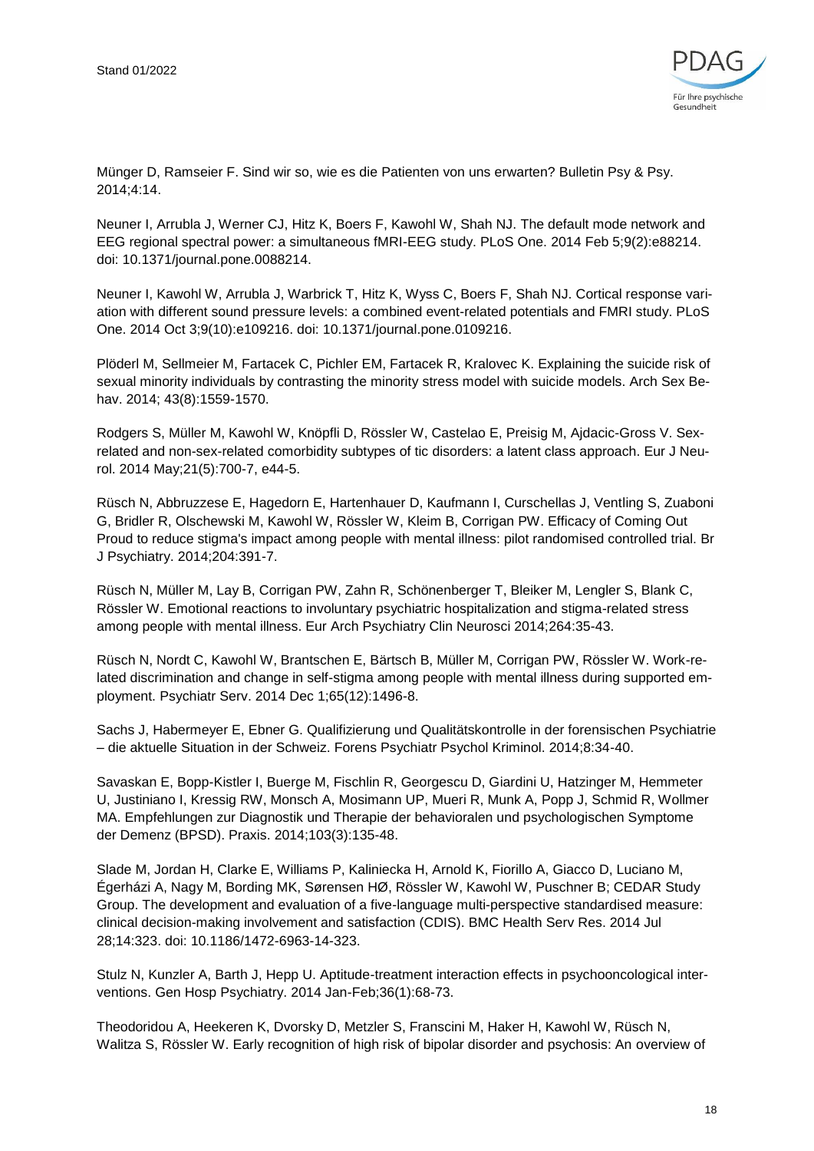

Münger D, Ramseier F. Sind wir so, wie es die Patienten von uns erwarten? Bulletin Psy & Psy. 2014;4:14.

Neuner I, Arrubla J, Werner CJ, Hitz K, Boers F, Kawohl W, Shah NJ. The default mode network and EEG regional spectral power: a simultaneous fMRI-EEG study. PLoS One. 2014 Feb 5;9(2):e88214. doi: 10.1371/journal.pone.0088214.

Neuner I, Kawohl W, Arrubla J, Warbrick T, Hitz K, Wyss C, Boers F, Shah NJ. Cortical response variation with different sound pressure levels: a combined event-related potentials and FMRI study. PLoS One. 2014 Oct 3;9(10):e109216. doi: 10.1371/journal.pone.0109216.

Plöderl M, Sellmeier M, Fartacek C, Pichler EM, Fartacek R, Kralovec K. Explaining the suicide risk of sexual minority individuals by contrasting the minority stress model with suicide models. Arch Sex Behav. 2014; 43(8):1559-1570.

Rodgers S, Müller M, Kawohl W, Knöpfli D, Rössler W, Castelao E, Preisig M, Ajdacic-Gross V. Sexrelated and non-sex-related comorbidity subtypes of tic disorders: a latent class approach. Eur J Neurol. 2014 May;21(5):700-7, e44-5.

Rüsch N, Abbruzzese E, Hagedorn E, Hartenhauer D, Kaufmann I, Curschellas J, Ventling S, Zuaboni G, Bridler R, Olschewski M, Kawohl W, Rössler W, Kleim B, Corrigan PW. Efficacy of Coming Out Proud to reduce stigma's impact among people with mental illness: pilot randomised controlled trial. Br J Psychiatry. 2014;204:391-7.

Rüsch N, Müller M, Lay B, Corrigan PW, Zahn R, Schönenberger T, Bleiker M, Lengler S, Blank C, Rössler W. Emotional reactions to involuntary psychiatric hospitalization and stigma-related stress among people with mental illness. Eur Arch Psychiatry Clin Neurosci 2014;264:35-43.

Rüsch N, Nordt C, Kawohl W, Brantschen E, Bärtsch B, Müller M, Corrigan PW, Rössler W. Work-related discrimination and change in self-stigma among people with mental illness during supported employment. Psychiatr Serv. 2014 Dec 1;65(12):1496-8.

Sachs J, Habermeyer E, Ebner G. Qualifizierung und Qualitätskontrolle in der forensischen Psychiatrie – die aktuelle Situation in der Schweiz. Forens Psychiatr Psychol Kriminol. 2014;8:34-40.

Savaskan E, Bopp-Kistler I, Buerge M, Fischlin R, Georgescu D, Giardini U, Hatzinger M, Hemmeter U, Justiniano I, Kressig RW, Monsch A, Mosimann UP, Mueri R, Munk A, Popp J, Schmid R, Wollmer MA. Empfehlungen zur Diagnostik und Therapie der behavioralen und psychologischen Symptome der Demenz (BPSD). Praxis. 2014;103(3):135-48.

Slade M, Jordan H, Clarke E, Williams P, Kaliniecka H, Arnold K, Fiorillo A, Giacco D, Luciano M, Égerházi A, Nagy M, Bording MK, Sørensen HØ, Rössler W, Kawohl W, Puschner B; CEDAR Study Group. The development and evaluation of a five-language multi-perspective standardised measure: clinical decision-making involvement and satisfaction (CDIS). BMC Health Serv Res. 2014 Jul 28;14:323. doi: 10.1186/1472-6963-14-323.

Stulz N, Kunzler A, Barth J, Hepp U. Aptitude-treatment interaction effects in psychooncological interventions. Gen Hosp Psychiatry. 2014 Jan-Feb;36(1):68-73.

Theodoridou A, Heekeren K, Dvorsky D, Metzler S, Franscini M, Haker H, Kawohl W, Rüsch N, Walitza S, Rössler W. Early recognition of high risk of bipolar disorder and psychosis: An overview of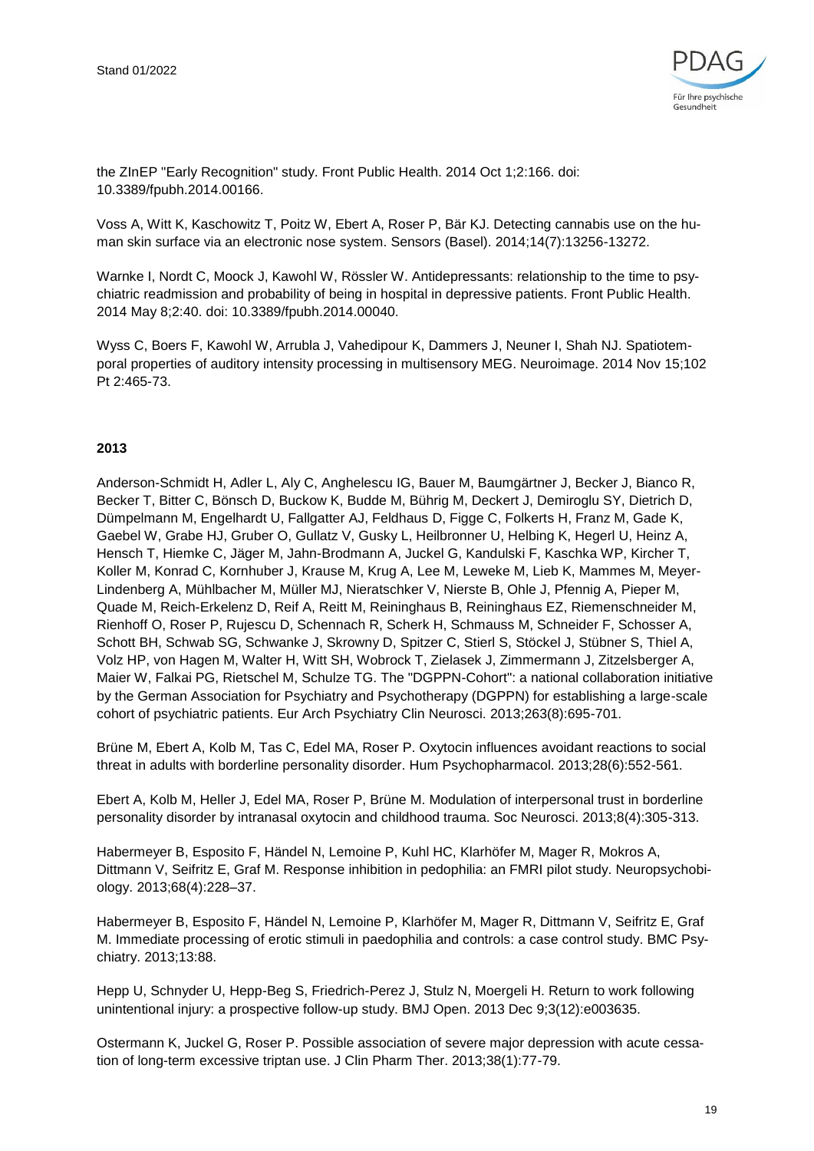

the ZInEP "Early Recognition" study. Front Public Health. 2014 Oct 1;2:166. doi: 10.3389/fpubh.2014.00166.

Voss A, Witt K, Kaschowitz T, Poitz W, Ebert A, Roser P, Bär KJ. Detecting cannabis use on the human skin surface via an electronic nose system. Sensors (Basel). 2014;14(7):13256-13272.

Warnke I, Nordt C, Moock J, Kawohl W, Rössler W. Antidepressants: relationship to the time to psychiatric readmission and probability of being in hospital in depressive patients. Front Public Health. 2014 May 8;2:40. doi: 10.3389/fpubh.2014.00040.

Wyss C, Boers F, Kawohl W, Arrubla J, Vahedipour K, Dammers J, Neuner I, Shah NJ. Spatiotemporal properties of auditory intensity processing in multisensory MEG. Neuroimage. 2014 Nov 15;102 Pt 2:465-73.

#### **2013**

Anderson-Schmidt H, Adler L, Aly C, Anghelescu IG, Bauer M, Baumgärtner J, Becker J, Bianco R, Becker T, Bitter C, Bönsch D, Buckow K, Budde M, Bührig M, Deckert J, Demiroglu SY, Dietrich D, Dümpelmann M, Engelhardt U, Fallgatter AJ, Feldhaus D, Figge C, Folkerts H, Franz M, Gade K, Gaebel W, Grabe HJ, Gruber O, Gullatz V, Gusky L, Heilbronner U, Helbing K, Hegerl U, Heinz A, Hensch T, Hiemke C, Jäger M, Jahn-Brodmann A, Juckel G, Kandulski F, Kaschka WP, Kircher T, Koller M, Konrad C, Kornhuber J, Krause M, Krug A, Lee M, Leweke M, Lieb K, Mammes M, Meyer-Lindenberg A, Mühlbacher M, Müller MJ, Nieratschker V, Nierste B, Ohle J, Pfennig A, Pieper M, Quade M, Reich-Erkelenz D, Reif A, Reitt M, Reininghaus B, Reininghaus EZ, Riemenschneider M, Rienhoff O, Roser P, Rujescu D, Schennach R, Scherk H, Schmauss M, Schneider F, Schosser A, Schott BH, Schwab SG, Schwanke J, Skrowny D, Spitzer C, Stierl S, Stöckel J, Stübner S, Thiel A, Volz HP, von Hagen M, Walter H, Witt SH, Wobrock T, Zielasek J, Zimmermann J, Zitzelsberger A, Maier W, Falkai PG, Rietschel M, Schulze TG. The "DGPPN-Cohort": a national collaboration initiative by the German Association for Psychiatry and Psychotherapy (DGPPN) for establishing a large-scale cohort of psychiatric patients. Eur Arch Psychiatry Clin Neurosci. 2013;263(8):695-701.

Brüne M, Ebert A, Kolb M, Tas C, Edel MA, Roser P. Oxytocin influences avoidant reactions to social threat in adults with borderline personality disorder. Hum Psychopharmacol. 2013;28(6):552-561.

Ebert A, Kolb M, Heller J, Edel MA, Roser P, Brüne M. Modulation of interpersonal trust in borderline personality disorder by intranasal oxytocin and childhood trauma. Soc Neurosci. 2013;8(4):305-313.

Habermeyer B, Esposito F, Händel N, Lemoine P, Kuhl HC, Klarhöfer M, Mager R, Mokros A, Dittmann V, Seifritz E, Graf M. Response inhibition in pedophilia: an FMRI pilot study. Neuropsychobiology. 2013;68(4):228–37.

Habermeyer B, Esposito F, Händel N, Lemoine P, Klarhöfer M, Mager R, Dittmann V, Seifritz E, Graf M. Immediate processing of erotic stimuli in paedophilia and controls: a case control study. BMC Psychiatry. 2013;13:88.

Hepp U, Schnyder U, Hepp-Beg S, Friedrich-Perez J, Stulz N, Moergeli H. Return to work following unintentional injury: a prospective follow-up study. BMJ Open. 2013 Dec 9;3(12):e003635.

Ostermann K, Juckel G, Roser P. Possible association of severe major depression with acute cessation of long-term excessive triptan use. J Clin Pharm Ther. 2013;38(1):77-79.